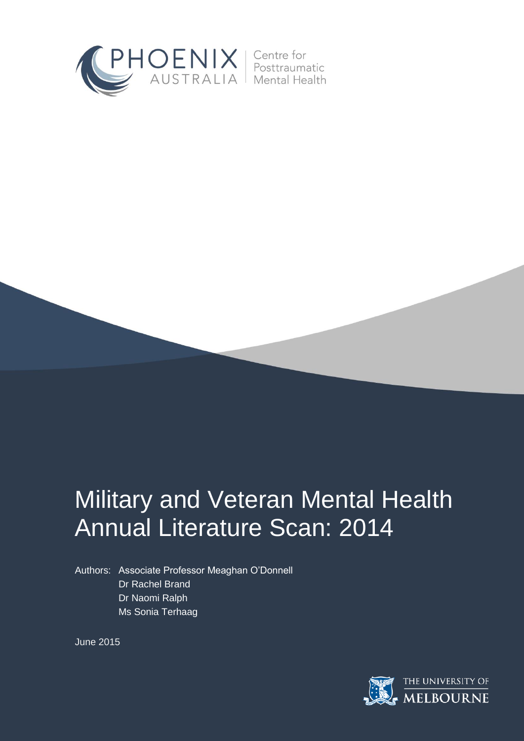



# Annual Literature Scan: 2014

Authors: Associate Professor Meaghan O'Donnell Dr Rachel Brand Dr Naomi Ralph Ms Sonia Terhaag

June 2015

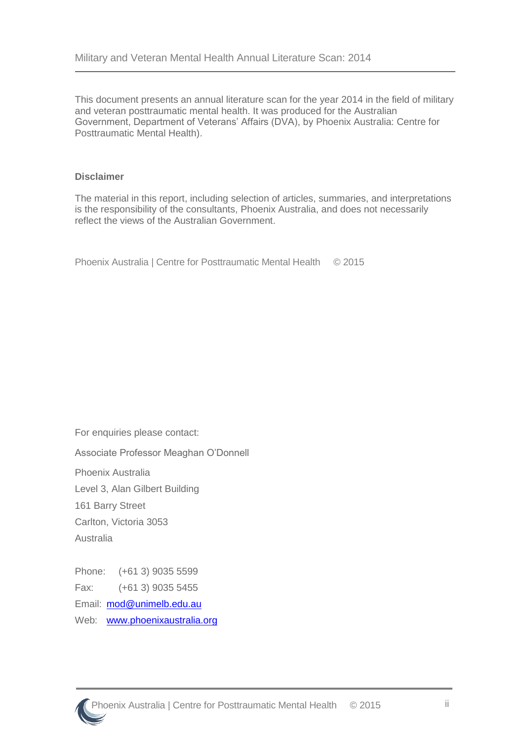This document presents an annual literature scan for the year 2014 in the field of military and veteran posttraumatic mental health. It was produced for the Australian Government, Department of Veterans' Affairs (DVA), by Phoenix Australia: Centre for Posttraumatic Mental Health).

#### **Disclaimer**

The material in this report, including selection of articles, summaries, and interpretations is the responsibility of the consultants, Phoenix Australia, and does not necessarily reflect the views of the Australian Government.

Phoenix Australia | Centre for Posttraumatic Mental Health © 2015

For enquiries please contact: Associate Professor Meaghan O'Donnell Phoenix Australia Level 3, Alan Gilbert Building 161 Barry Street Carlton, Victoria 3053 Australia Phone: (+61 3) 9035 5599

Fax: (+61 3) 9035 5455 Email: [mod@unimelb.edu.au](mailto:mod@unimelb.edu.au) Web: [www.phoenixaustralia.org](http://www.phoenixaustralia.org/)

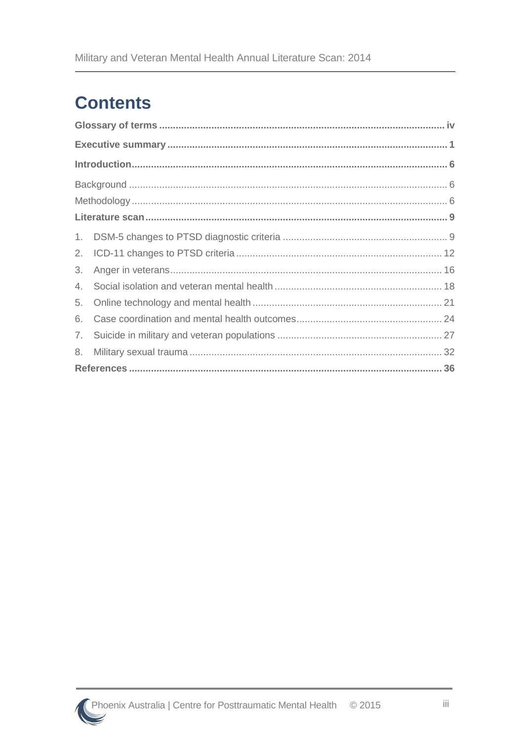# **Contents**

| 3. |  |  |  |  |  |
|----|--|--|--|--|--|
| 4. |  |  |  |  |  |
| 5. |  |  |  |  |  |
| 6. |  |  |  |  |  |
| 7. |  |  |  |  |  |
| 8. |  |  |  |  |  |
|    |  |  |  |  |  |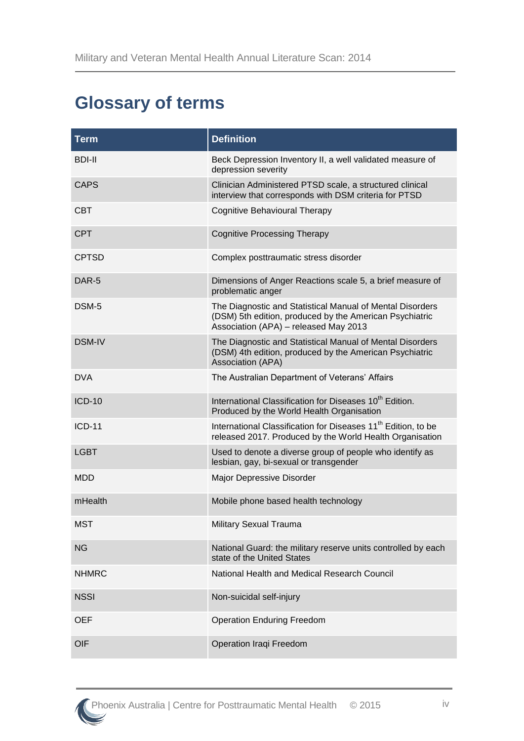# <span id="page-3-0"></span>**Glossary of terms**

| <b>Term</b>   | <b>Definition</b>                                                                                                                                             |  |  |
|---------------|---------------------------------------------------------------------------------------------------------------------------------------------------------------|--|--|
| BDI-II        | Beck Depression Inventory II, a well validated measure of<br>depression severity                                                                              |  |  |
| <b>CAPS</b>   | Clinician Administered PTSD scale, a structured clinical<br>interview that corresponds with DSM criteria for PTSD                                             |  |  |
| <b>CBT</b>    | <b>Cognitive Behavioural Therapy</b>                                                                                                                          |  |  |
| <b>CPT</b>    | <b>Cognitive Processing Therapy</b>                                                                                                                           |  |  |
| <b>CPTSD</b>  | Complex posttraumatic stress disorder                                                                                                                         |  |  |
| DAR-5         | Dimensions of Anger Reactions scale 5, a brief measure of<br>problematic anger                                                                                |  |  |
| DSM-5         | The Diagnostic and Statistical Manual of Mental Disorders<br>(DSM) 5th edition, produced by the American Psychiatric<br>Association (APA) - released May 2013 |  |  |
| <b>DSM-IV</b> | The Diagnostic and Statistical Manual of Mental Disorders<br>(DSM) 4th edition, produced by the American Psychiatric<br>Association (APA)                     |  |  |
| <b>DVA</b>    | The Australian Department of Veterans' Affairs                                                                                                                |  |  |
| $ICD-10$      | International Classification for Diseases 10 <sup>th</sup> Edition.<br>Produced by the World Health Organisation                                              |  |  |
| $ICD-11$      | International Classification for Diseases 11 <sup>th</sup> Edition, to be<br>released 2017. Produced by the World Health Organisation                         |  |  |
| <b>LGBT</b>   | Used to denote a diverse group of people who identify as<br>lesbian, gay, bi-sexual or transgender                                                            |  |  |
| MDD           | Major Depressive Disorder                                                                                                                                     |  |  |
| mHealth       | Mobile phone based health technology                                                                                                                          |  |  |
| <b>MST</b>    | Military Sexual Trauma                                                                                                                                        |  |  |
| <b>NG</b>     | National Guard: the military reserve units controlled by each<br>state of the United States                                                                   |  |  |
| <b>NHMRC</b>  | National Health and Medical Research Council                                                                                                                  |  |  |
| <b>NSSI</b>   | Non-suicidal self-injury                                                                                                                                      |  |  |
| <b>OEF</b>    | <b>Operation Enduring Freedom</b>                                                                                                                             |  |  |
| OIF           | Operation Iraqi Freedom                                                                                                                                       |  |  |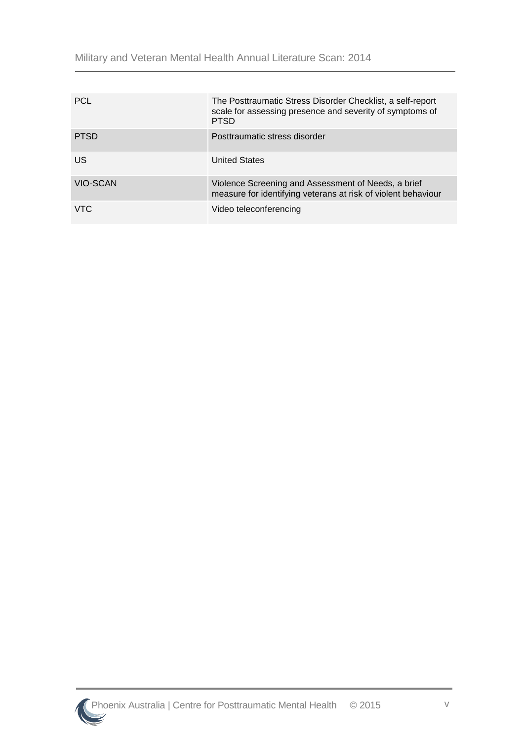Military and Veteran Mental Health Annual Literature Scan: 2014

| <b>PCL</b>  | The Posttraumatic Stress Disorder Checklist, a self-report<br>scale for assessing presence and severity of symptoms of<br><b>PTSD</b> |
|-------------|---------------------------------------------------------------------------------------------------------------------------------------|
| <b>PTSD</b> | Posttraumatic stress disorder                                                                                                         |
| US.         | <b>United States</b>                                                                                                                  |
| VIO-SCAN    | Violence Screening and Assessment of Needs, a brief<br>measure for identifying veterans at risk of violent behaviour                  |
| VTC         | Video teleconferencing                                                                                                                |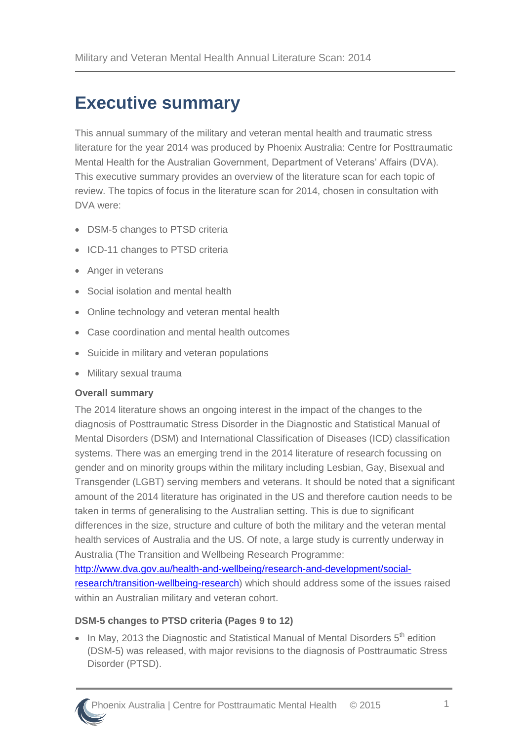# <span id="page-5-0"></span>**Executive summary**

This annual summary of the military and veteran mental health and traumatic stress literature for the year 2014 was produced by Phoenix Australia: Centre for Posttraumatic Mental Health for the Australian Government, Department of Veterans' Affairs (DVA). This executive summary provides an overview of the literature scan for each topic of review. The topics of focus in the literature scan for 2014, chosen in consultation with DVA were:

- DSM-5 changes to PTSD criteria
- ICD-11 changes to PTSD criteria
- Anger in veterans
- Social isolation and mental health
- Online technology and veteran mental health
- Case coordination and mental health outcomes
- Suicide in military and veteran populations
- Military sexual trauma

#### **Overall summary**

The 2014 literature shows an ongoing interest in the impact of the changes to the diagnosis of Posttraumatic Stress Disorder in the Diagnostic and Statistical Manual of Mental Disorders (DSM) and International Classification of Diseases (ICD) classification systems. There was an emerging trend in the 2014 literature of research focussing on gender and on minority groups within the military including Lesbian, Gay, Bisexual and Transgender (LGBT) serving members and veterans. It should be noted that a significant amount of the 2014 literature has originated in the US and therefore caution needs to be taken in terms of generalising to the Australian setting. This is due to significant differences in the size, structure and culture of both the military and the veteran mental health services of Australia and the US. Of note, a large study is currently underway in Australia (The Transition and Wellbeing Research Programme:

[http://www.dva.gov.au/health-and-wellbeing/research-and-development/social](http://www.dva.gov.au/health-and-wellbeing/research-and-development/social-research/transition-wellbeing-research)[research/transition-wellbeing-research\)](http://www.dva.gov.au/health-and-wellbeing/research-and-development/social-research/transition-wellbeing-research) which should address some of the issues raised within an Australian military and veteran cohort.

#### **DSM-5 changes to PTSD criteria (Pages 9 to 12)**

 $\bullet$  In May, 2013 the Diagnostic and Statistical Manual of Mental Disorders  $5^{th}$  edition (DSM-5) was released, with major revisions to the diagnosis of Posttraumatic Stress Disorder (PTSD).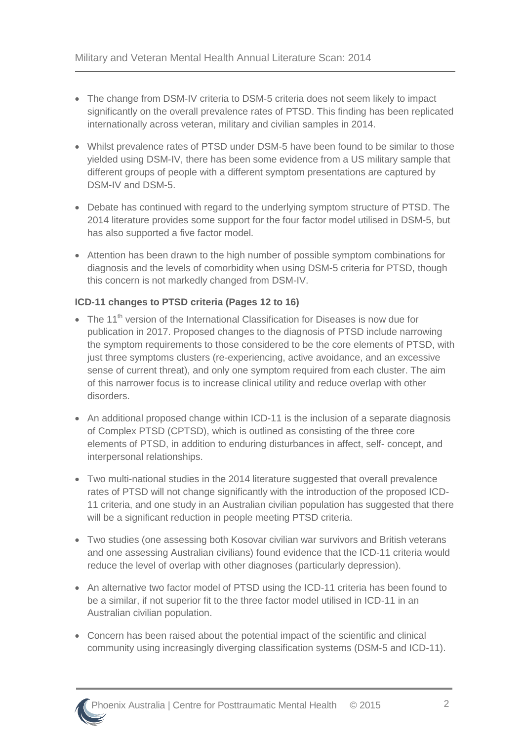- The change from DSM-IV criteria to DSM-5 criteria does not seem likely to impact significantly on the overall prevalence rates of PTSD. This finding has been replicated internationally across veteran, military and civilian samples in 2014.
- Whilst prevalence rates of PTSD under DSM-5 have been found to be similar to those yielded using DSM-IV, there has been some evidence from a US military sample that different groups of people with a different symptom presentations are captured by DSM-IV and DSM-5.
- Debate has continued with regard to the underlying symptom structure of PTSD. The 2014 literature provides some support for the four factor model utilised in DSM-5, but has also supported a five factor model.
- Attention has been drawn to the high number of possible symptom combinations for diagnosis and the levels of comorbidity when using DSM-5 criteria for PTSD, though this concern is not markedly changed from DSM-IV.

#### **ICD-11 changes to PTSD criteria (Pages 12 to 16)**

- $\bullet$  The 11<sup>th</sup> version of the International Classification for Diseases is now due for publication in 2017. Proposed changes to the diagnosis of PTSD include narrowing the symptom requirements to those considered to be the core elements of PTSD, with just three symptoms clusters (re-experiencing, active avoidance, and an excessive sense of current threat), and only one symptom required from each cluster. The aim of this narrower focus is to increase clinical utility and reduce overlap with other disorders.
- An additional proposed change within ICD-11 is the inclusion of a separate diagnosis of Complex PTSD (CPTSD), which is outlined as consisting of the three core elements of PTSD, in addition to enduring disturbances in affect, self- concept, and interpersonal relationships.
- Two multi-national studies in the 2014 literature suggested that overall prevalence rates of PTSD will not change significantly with the introduction of the proposed ICD-11 criteria, and one study in an Australian civilian population has suggested that there will be a significant reduction in people meeting PTSD criteria.
- Two studies (one assessing both Kosovar civilian war survivors and British veterans and one assessing Australian civilians) found evidence that the ICD-11 criteria would reduce the level of overlap with other diagnoses (particularly depression).
- An alternative two factor model of PTSD using the ICD-11 criteria has been found to be a similar, if not superior fit to the three factor model utilised in ICD-11 in an Australian civilian population.
- Concern has been raised about the potential impact of the scientific and clinical community using increasingly diverging classification systems (DSM-5 and ICD-11).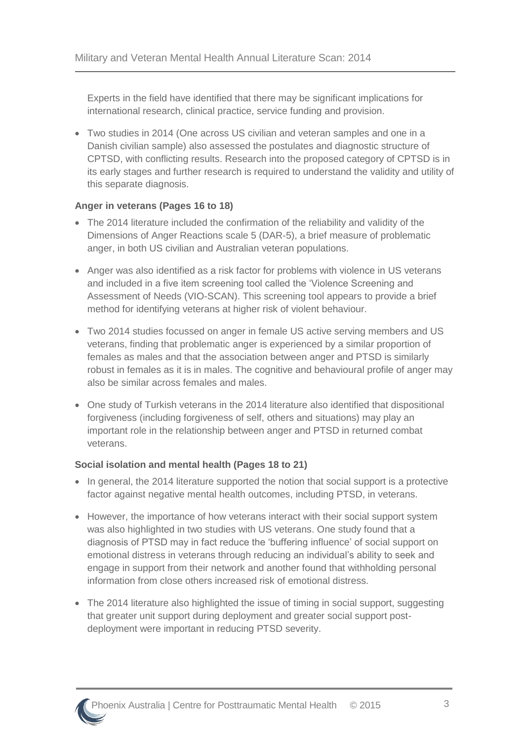Experts in the field have identified that there may be significant implications for international research, clinical practice, service funding and provision.

 Two studies in 2014 (One across US civilian and veteran samples and one in a Danish civilian sample) also assessed the postulates and diagnostic structure of CPTSD, with conflicting results. Research into the proposed category of CPTSD is in its early stages and further research is required to understand the validity and utility of this separate diagnosis.

#### **Anger in veterans (Pages 16 to 18)**

- The 2014 literature included the confirmation of the reliability and validity of the Dimensions of Anger Reactions scale 5 (DAR-5), a brief measure of problematic anger, in both US civilian and Australian veteran populations.
- Anger was also identified as a risk factor for problems with violence in US veterans and included in a five item screening tool called the 'Violence Screening and Assessment of Needs (VIO-SCAN). This screening tool appears to provide a brief method for identifying veterans at higher risk of violent behaviour.
- Two 2014 studies focussed on anger in female US active serving members and US veterans, finding that problematic anger is experienced by a similar proportion of females as males and that the association between anger and PTSD is similarly robust in females as it is in males. The cognitive and behavioural profile of anger may also be similar across females and males.
- One study of Turkish veterans in the 2014 literature also identified that dispositional forgiveness (including forgiveness of self, others and situations) may play an important role in the relationship between anger and PTSD in returned combat veterans.

#### **Social isolation and mental health (Pages 18 to 21)**

- In general, the 2014 literature supported the notion that social support is a protective factor against negative mental health outcomes, including PTSD, in veterans.
- However, the importance of how veterans interact with their social support system was also highlighted in two studies with US veterans. One study found that a diagnosis of PTSD may in fact reduce the 'buffering influence' of social support on emotional distress in veterans through reducing an individual's ability to seek and engage in support from their network and another found that withholding personal information from close others increased risk of emotional distress.
- The 2014 literature also highlighted the issue of timing in social support, suggesting that greater unit support during deployment and greater social support postdeployment were important in reducing PTSD severity.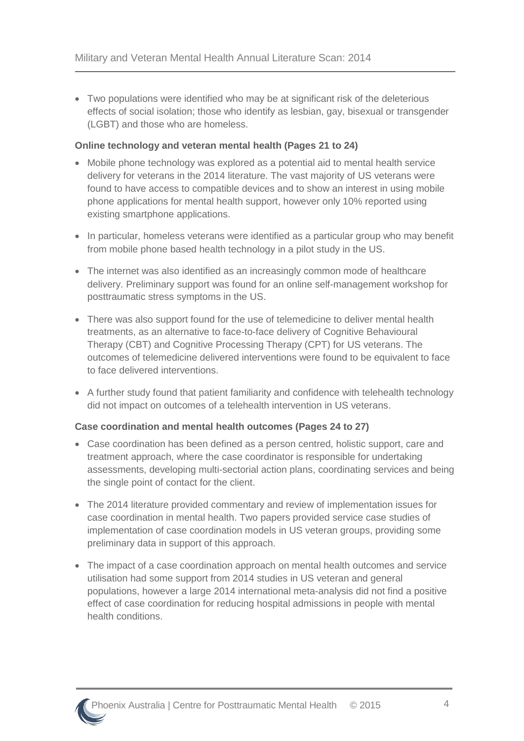Two populations were identified who may be at significant risk of the deleterious effects of social isolation; those who identify as lesbian, gay, bisexual or transgender (LGBT) and those who are homeless.

#### **Online technology and veteran mental health (Pages 21 to 24)**

- Mobile phone technology was explored as a potential aid to mental health service delivery for veterans in the 2014 literature. The vast majority of US veterans were found to have access to compatible devices and to show an interest in using mobile phone applications for mental health support, however only 10% reported using existing smartphone applications.
- In particular, homeless veterans were identified as a particular group who may benefit from mobile phone based health technology in a pilot study in the US.
- The internet was also identified as an increasingly common mode of healthcare delivery. Preliminary support was found for an online self-management workshop for posttraumatic stress symptoms in the US.
- There was also support found for the use of telemedicine to deliver mental health treatments, as an alternative to face-to-face delivery of Cognitive Behavioural Therapy (CBT) and Cognitive Processing Therapy (CPT) for US veterans. The outcomes of telemedicine delivered interventions were found to be equivalent to face to face delivered interventions.
- A further study found that patient familiarity and confidence with telehealth technology did not impact on outcomes of a telehealth intervention in US veterans.

#### **Case coordination and mental health outcomes (Pages 24 to 27)**

- Case coordination has been defined as a person centred, holistic support, care and treatment approach, where the case coordinator is responsible for undertaking assessments, developing multi-sectorial action plans, coordinating services and being the single point of contact for the client.
- The 2014 literature provided commentary and review of implementation issues for case coordination in mental health. Two papers provided service case studies of implementation of case coordination models in US veteran groups, providing some preliminary data in support of this approach.
- The impact of a case coordination approach on mental health outcomes and service utilisation had some support from 2014 studies in US veteran and general populations, however a large 2014 international meta-analysis did not find a positive effect of case coordination for reducing hospital admissions in people with mental health conditions.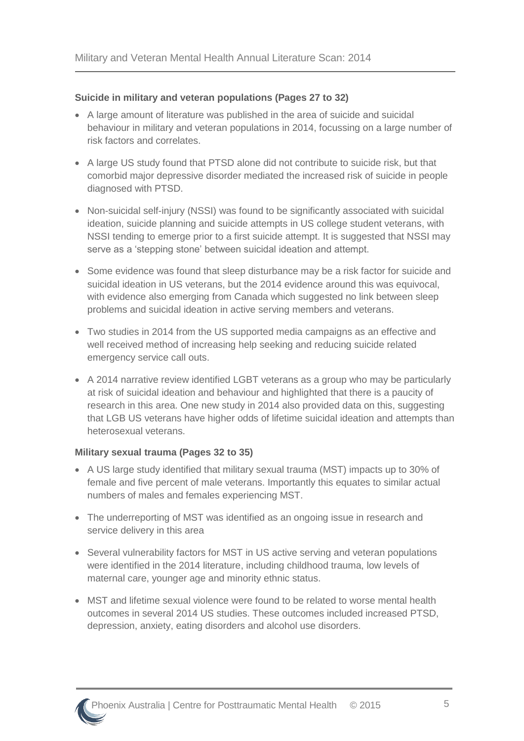#### **Suicide in military and veteran populations (Pages 27 to 32)**

- A large amount of literature was published in the area of suicide and suicidal behaviour in military and veteran populations in 2014, focussing on a large number of risk factors and correlates.
- A large US study found that PTSD alone did not contribute to suicide risk, but that comorbid major depressive disorder mediated the increased risk of suicide in people diagnosed with PTSD.
- Non-suicidal self-injury (NSSI) was found to be significantly associated with suicidal ideation, suicide planning and suicide attempts in US college student veterans, with NSSI tending to emerge prior to a first suicide attempt. It is suggested that NSSI may serve as a 'stepping stone' between suicidal ideation and attempt.
- Some evidence was found that sleep disturbance may be a risk factor for suicide and suicidal ideation in US veterans, but the 2014 evidence around this was equivocal, with evidence also emerging from Canada which suggested no link between sleep problems and suicidal ideation in active serving members and veterans.
- Two studies in 2014 from the US supported media campaigns as an effective and well received method of increasing help seeking and reducing suicide related emergency service call outs.
- A 2014 narrative review identified LGBT veterans as a group who may be particularly at risk of suicidal ideation and behaviour and highlighted that there is a paucity of research in this area. One new study in 2014 also provided data on this, suggesting that LGB US veterans have higher odds of lifetime suicidal ideation and attempts than heterosexual veterans.

#### **Military sexual trauma (Pages 32 to 35)**

- A US large study identified that military sexual trauma (MST) impacts up to 30% of female and five percent of male veterans. Importantly this equates to similar actual numbers of males and females experiencing MST.
- The underreporting of MST was identified as an ongoing issue in research and service delivery in this area
- Several vulnerability factors for MST in US active serving and veteran populations were identified in the 2014 literature, including childhood trauma, low levels of maternal care, younger age and minority ethnic status.
- MST and lifetime sexual violence were found to be related to worse mental health outcomes in several 2014 US studies. These outcomes included increased PTSD, depression, anxiety, eating disorders and alcohol use disorders.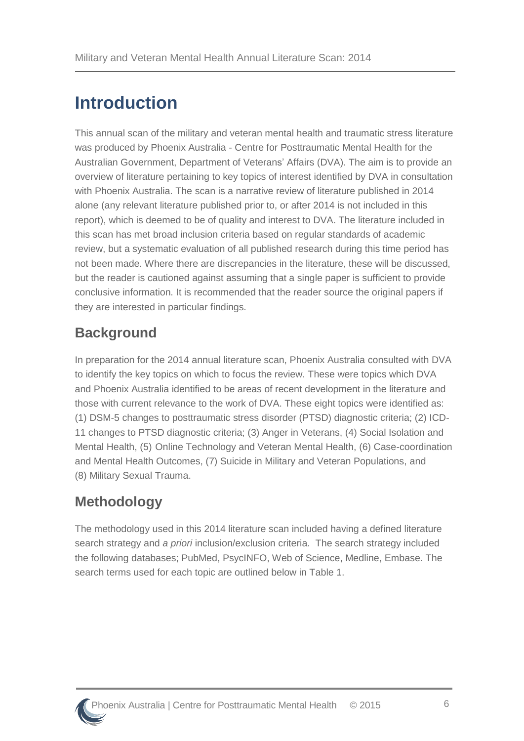# <span id="page-10-0"></span>**Introduction**

This annual scan of the military and veteran mental health and traumatic stress literature was produced by Phoenix Australia - Centre for Posttraumatic Mental Health for the Australian Government, Department of Veterans' Affairs (DVA). The aim is to provide an overview of literature pertaining to key topics of interest identified by DVA in consultation with Phoenix Australia. The scan is a narrative review of literature published in 2014 alone (any relevant literature published prior to, or after 2014 is not included in this report), which is deemed to be of quality and interest to DVA. The literature included in this scan has met broad inclusion criteria based on regular standards of academic review, but a systematic evaluation of all published research during this time period has not been made. Where there are discrepancies in the literature, these will be discussed, but the reader is cautioned against assuming that a single paper is sufficient to provide conclusive information. It is recommended that the reader source the original papers if they are interested in particular findings.

# <span id="page-10-1"></span>**Background**

In preparation for the 2014 annual literature scan, Phoenix Australia consulted with DVA to identify the key topics on which to focus the review. These were topics which DVA and Phoenix Australia identified to be areas of recent development in the literature and those with current relevance to the work of DVA. These eight topics were identified as: (1) DSM-5 changes to posttraumatic stress disorder (PTSD) diagnostic criteria; (2) ICD-11 changes to PTSD diagnostic criteria; (3) Anger in Veterans, (4) Social Isolation and Mental Health, (5) Online Technology and Veteran Mental Health, (6) Case-coordination and Mental Health Outcomes, (7) Suicide in Military and Veteran Populations, and (8) Military Sexual Trauma.

# <span id="page-10-2"></span>**Methodology**

The methodology used in this 2014 literature scan included having a defined literature search strategy and *a priori* inclusion/exclusion criteria. The search strategy included the following databases; PubMed, PsycINFO, Web of Science, Medline, Embase. The search terms used for each topic are outlined below in Table 1.

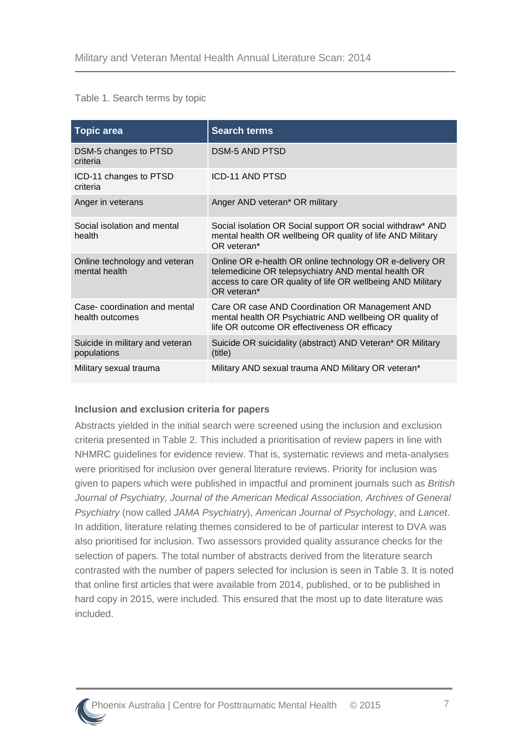#### Table 1. Search terms by topic

| <b>Topic area</b>                               | <b>Search terms</b>                                                                                                                                                                           |  |
|-------------------------------------------------|-----------------------------------------------------------------------------------------------------------------------------------------------------------------------------------------------|--|
| DSM-5 changes to PTSD<br>criteria               | <b>DSM-5 AND PTSD</b>                                                                                                                                                                         |  |
| ICD-11 changes to PTSD<br>criteria              | ICD-11 AND PTSD                                                                                                                                                                               |  |
| Anger in veterans                               | Anger AND veteran* OR military                                                                                                                                                                |  |
| Social isolation and mental<br>health           | Social isolation OR Social support OR social withdraw* AND<br>mental health OR wellbeing OR quality of life AND Military<br>OR veteran*                                                       |  |
| Online technology and veteran<br>mental health  | Online OR e-health OR online technology OR e-delivery OR<br>telemedicine OR telepsychiatry AND mental health OR<br>access to care OR quality of life OR wellbeing AND Military<br>OR veteran* |  |
| Case-coordination and mental<br>health outcomes | Care OR case AND Coordination OR Management AND<br>mental health OR Psychiatric AND wellbeing OR quality of<br>life OR outcome OR effectiveness OR efficacy                                   |  |
| Suicide in military and veteran<br>populations  | Suicide OR suicidality (abstract) AND Veteran* OR Military<br>(title)                                                                                                                         |  |
| Military sexual trauma                          | Military AND sexual trauma AND Military OR veteran*                                                                                                                                           |  |

#### **Inclusion and exclusion criteria for papers**

Abstracts yielded in the initial search were screened using the inclusion and exclusion criteria presented in Table 2. This included a prioritisation of review papers in line with NHMRC guidelines for evidence review. That is, systematic reviews and meta-analyses were prioritised for inclusion over general literature reviews. Priority for inclusion was given to papers which were published in impactful and prominent journals such as *British Journal of Psychiatry, Journal of the American Medical Association, Archives of General Psychiatry* (now called *JAMA Psychiatry*), *American Journal of Psychology*, and *Lancet*. In addition, literature relating themes considered to be of particular interest to DVA was also prioritised for inclusion. Two assessors provided quality assurance checks for the selection of papers. The total number of abstracts derived from the literature search contrasted with the number of papers selected for inclusion is seen in Table 3. It is noted that online first articles that were available from 2014, published, or to be published in hard copy in 2015, were included. This ensured that the most up to date literature was included.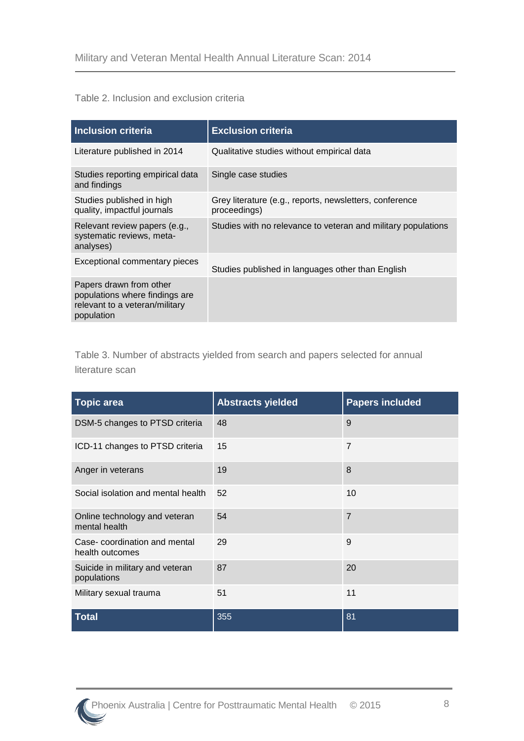#### Table 2. Inclusion and exclusion criteria

| <b>Inclusion criteria</b>                                                                                 | <b>Exclusion criteria</b>                                               |  |
|-----------------------------------------------------------------------------------------------------------|-------------------------------------------------------------------------|--|
| Literature published in 2014                                                                              | Qualitative studies without empirical data                              |  |
| Studies reporting empirical data<br>and findings                                                          | Single case studies                                                     |  |
| Studies published in high<br>quality, impactful journals                                                  | Grey literature (e.g., reports, newsletters, conference<br>proceedings) |  |
| Relevant review papers (e.g.,<br>systematic reviews, meta-<br>analyses)                                   | Studies with no relevance to veteran and military populations           |  |
| Exceptional commentary pieces                                                                             | Studies published in languages other than English                       |  |
| Papers drawn from other<br>populations where findings are<br>relevant to a veteran/military<br>population |                                                                         |  |

Table 3. Number of abstracts yielded from search and papers selected for annual literature scan

| <b>Topic area</b>                               | <b>Abstracts yielded</b> | <b>Papers included</b> |
|-------------------------------------------------|--------------------------|------------------------|
| DSM-5 changes to PTSD criteria                  | 48                       | 9                      |
| ICD-11 changes to PTSD criteria                 | 15                       | $\overline{7}$         |
| Anger in veterans                               | 19                       | 8                      |
| Social isolation and mental health              | 52                       | 10                     |
| Online technology and veteran<br>mental health  | 54                       | $\overline{7}$         |
| Case-coordination and mental<br>health outcomes | 29                       | 9                      |
| Suicide in military and veteran<br>populations  | 87                       | 20                     |
| Military sexual trauma                          | 51                       | 11                     |
| <b>Total</b>                                    | 355                      | 81                     |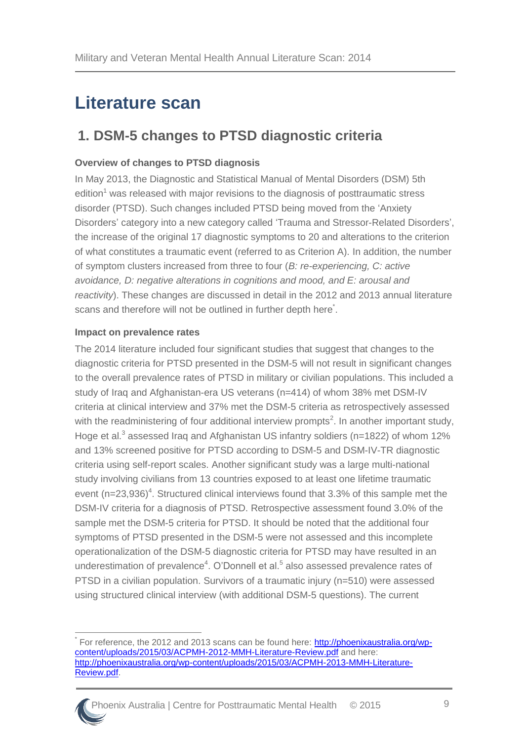# <span id="page-13-0"></span>**Literature scan**

### <span id="page-13-1"></span>**1. DSM-5 changes to PTSD diagnostic criteria**

#### **Overview of changes to PTSD diagnosis**

In May 2013, the Diagnostic and Statistical Manual of Mental Disorders (DSM) 5th editio[n](#page-40-1)<sup>1</sup> was released with major revisions to the diagnosis of posttraumatic stress disorder (PTSD). Such changes included PTSD being moved from the 'Anxiety Disorders' category into a new category called 'Trauma and Stressor-Related Disorders', the increase of the original 17 diagnostic symptoms to 20 and alterations to the criterion of what constitutes a traumatic event (referred to as Criterion A). In addition, the number of symptom clusters increased from three to four (*B: re-experiencing, C: active avoidance, D: negative alterations in cognitions and mood, and E: arousal and reactivity*). These changes are discussed in detail in the 2012 and 2013 annual literature scans and therefore will not be outlined in further depth here<sup>\*</sup>.

#### **Impact on prevalence rates**

The 2014 literature included four significant studies that suggest that changes to the diagnostic criteria for PTSD presented in the DSM-5 will not result in significant changes to the overall prevalence rates of PTSD in military or civilian populations. This included a study of Iraq and Afghanistan-era US veterans (n=414) of whom 38% met DSM-IV criteria at clinical interview and 37% met the DSM-5 criteria as retrospectively assessed with the readministering of four additional interview prompts<sup>[2](#page-40-2)</sup>. In another important study, Hoge et al[.](#page-40-3)<sup>3</sup> assessed Iraq and Afghanistan US infantry soldiers (n=1822) of whom 12% and 13% screened positive for PTSD according to DSM-5 and DSM-IV-TR diagnostic criteria using self-report scales. Another significant study was a large multi-national study involving civilians from 13 countries exposed to at least one lifetime traumatic event  $(n=23,936)^4$  $(n=23,936)^4$  $(n=23,936)^4$ . Structured clinical interviews found that 3.3% of this sample met the DSM-IV criteria for a diagnosis of PTSD. Retrospective assessment found 3.0% of the sample met the DSM-5 criteria for PTSD. It should be noted that the additional four symptoms of PTSD presented in the DSM-5 were not assessed and this incomplete operationalization of the DSM-5 diagnostic criteria for PTSD may have resulted in an underestimation of prevalence<sup>4</sup>[.](#page-40-5) O'Donnell et al.<sup>5</sup> also assessed prevalence rates of PTSD in a civilian population. Survivors of a traumatic injury (n=510) were assessed using structured clinical interview (with additional DSM-5 questions). The current

 $\overline{a}$ \* For reference, the 2012 and 2013 scans can be found here: [http://phoenixaustralia.org/wp](http://phoenixaustralia.org/wp-content/uploads/2015/03/ACPMH-2012-MMH-Literature-Review.pdf)[content/uploads/2015/03/ACPMH-2012-MMH-Literature-Review.pdf](http://phoenixaustralia.org/wp-content/uploads/2015/03/ACPMH-2012-MMH-Literature-Review.pdf) and here: [http://phoenixaustralia.org/wp-content/uploads/2015/03/ACPMH-2013-MMH-Literature-](http://phoenixaustralia.org/wp-content/uploads/2015/03/ACPMH-2013-MMH-Literature-Review.pdf)[Review.pdf.](http://phoenixaustralia.org/wp-content/uploads/2015/03/ACPMH-2013-MMH-Literature-Review.pdf)

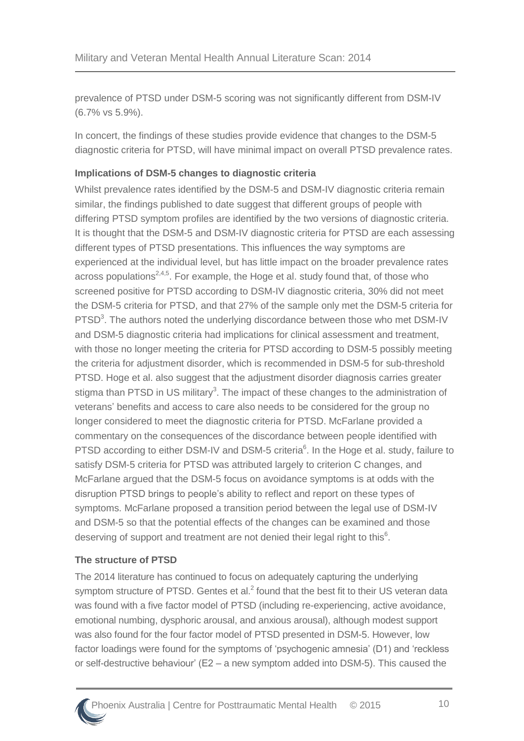prevalence of PTSD under DSM-5 scoring was not significantly different from DSM-IV (6.7% vs 5.9%).

In concert, the findings of these studies provide evidence that changes to the DSM-5 diagnostic criteria for PTSD, will have minimal impact on overall PTSD prevalence rates.

#### **Implications of DSM-5 changes to diagnostic criteria**

Whilst prevalence rates identified by the DSM-5 and DSM-IV diagnostic criteria remain similar, the findings published to date suggest that different groups of people with differing PTSD symptom profiles are identified by the two versions of diagnostic criteria. It is thought that the DSM-5 and DSM-IV diagnostic criteria for PTSD are each assessing different types of PTSD presentations. This influences the way symptoms are experienced at the individual level, but has little impact on the broader prevalence rates across populations<sup>[2,](#page-40-2)[4,](#page-40-4)[5](#page-40-5)</sup>. For example, the Hoge et al. study found that, of those who screened positive for PTSD according to DSM-IV diagnostic criteria, 30% did not meet the DSM-5 criteria for PTSD, and that 27% of the sample only met the DSM-5 criteria for PTSD<sup>3</sup>[.](#page-40-3) The authors noted the underlying discordance between those who met DSM-IV and DSM-5 diagnostic criteria had implications for clinical assessment and treatment, with those no longer meeting the criteria for PTSD according to DSM-5 possibly meeting the criteria for adjustment disorder, which is recommended in DSM-5 for sub-threshold PTSD. Hoge et al. also suggest that the adjustment disorder diagnosis carries greater stigma than PTSD in US militar[y](#page-40-3)<sup>3</sup>. The impact of these changes to the administration of veterans' benefits and access to care also needs to be considered for the group no longer considered to meet the diagnostic criteria for PTSD. McFarlane provided a commentary on the consequences of the discordance between people identified with PTSD [a](#page-40-6)ccording to either DSM-IV and DSM-5 criteria<sup>6</sup>. In the Hoge et al. study, failure to satisfy DSM-5 criteria for PTSD was attributed largely to criterion C changes, and McFarlane argued that the DSM-5 focus on avoidance symptoms is at odds with the disruption PTSD brings to people's ability to reflect and report on these types of symptoms. McFarlane proposed a transition period between the legal use of DSM-IV and DSM-5 so that the potential effects of the changes can be examined and those de[s](#page-40-6)erving of support and treatment are not denied their legal right to this<sup>6</sup>.

#### **The structure of PTSD**

The 2014 literature has continued to focus on adequately capturing the underlying symptom structure of PTSD[.](#page-40-2) Gentes et al. $<sup>2</sup>$  found that the best fit to their US veteran data</sup> was found with a five factor model of PTSD (including re-experiencing, active avoidance, emotional numbing, dysphoric arousal, and anxious arousal), although modest support was also found for the four factor model of PTSD presented in DSM-5. However, low factor loadings were found for the symptoms of 'psychogenic amnesia' (D1) and 'reckless or self-destructive behaviour' (E2 – a new symptom added into DSM-5). This caused the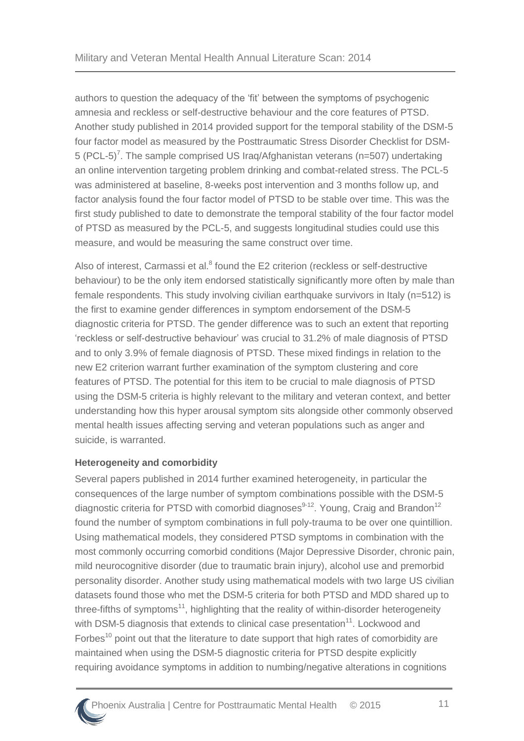authors to question the adequacy of the 'fit' between the symptoms of psychogenic amnesia and reckless or self-destructive behaviour and the core features of PTSD. Another study published in 2014 provided support for the temporal stability of the DSM-5 four factor model as measured by the Posttraumatic Stress Disorder Checklist for DSM-5 (PCL-5[\)](#page-40-7)<sup>7</sup>. The sample comprised US Iraq/Afghanistan veterans (n=507) undertaking an online intervention targeting problem drinking and combat-related stress. The PCL-5 was administered at baseline, 8-weeks post intervention and 3 months follow up, and factor analysis found the four factor model of PTSD to be stable over time. This was the first study published to date to demonstrate the temporal stability of the four factor model of PTSD as measured by the PCL-5, and suggests longitudinal studies could use this measure, and would be measuring the same construct over time.

Also of interest, Carmassi et al[.](#page-40-8)<sup>8</sup> found the E2 criterion (reckless or self-destructive behaviour) to be the only item endorsed statistically significantly more often by male than female respondents. This study involving civilian earthquake survivors in Italy (n=512) is the first to examine gender differences in symptom endorsement of the DSM-5 diagnostic criteria for PTSD. The gender difference was to such an extent that reporting 'reckless or self-destructive behaviour' was crucial to 31.2% of male diagnosis of PTSD and to only 3.9% of female diagnosis of PTSD. These mixed findings in relation to the new E2 criterion warrant further examination of the symptom clustering and core features of PTSD. The potential for this item to be crucial to male diagnosis of PTSD using the DSM-5 criteria is highly relevant to the military and veteran context, and better understanding how this hyper arousal symptom sits alongside other commonly observed mental health issues affecting serving and veteran populations such as anger and suicide, is warranted.

#### **Heterogeneity and comorbidity**

Several papers published in 2014 further examined heterogeneity, in particular the consequences of the large number of symptom combinations possible with the DSM-5 diagnostic criteria for PTSD with comorbid diagnoses<sup>[9-12](#page-40-9)</sup>. Young, Craig and Brandon<sup>[12](#page-40-10)</sup> found the number of symptom combinations in full poly-trauma to be over one quintillion. Using mathematical models, they considered PTSD symptoms in combination with the most commonly occurring comorbid conditions (Major Depressive Disorder, chronic pain, mild neurocognitive disorder (due to traumatic brain injury), alcohol use and premorbid personality disorder. Another study using mathematical models with two large US civilian datasets found those who met the DSM-5 criteria for both PTSD and MDD shared up to three-fifths of symptoms<sup>[11](#page-40-11)</sup>, highlighting that the reality of within-disorder heterogeneity with DSM-5 diagnosis that extends to clinical case presentation $11$ . Lockwood and Forbes<sup>[10](#page-40-12)</sup> point out that the literature to date support that high rates of comorbidity are maintained when using the DSM-5 diagnostic criteria for PTSD despite explicitly requiring avoidance symptoms in addition to numbing/negative alterations in cognitions

#### Phoenix Australia | Centre for Posttraumatic Mental Health © 2015 11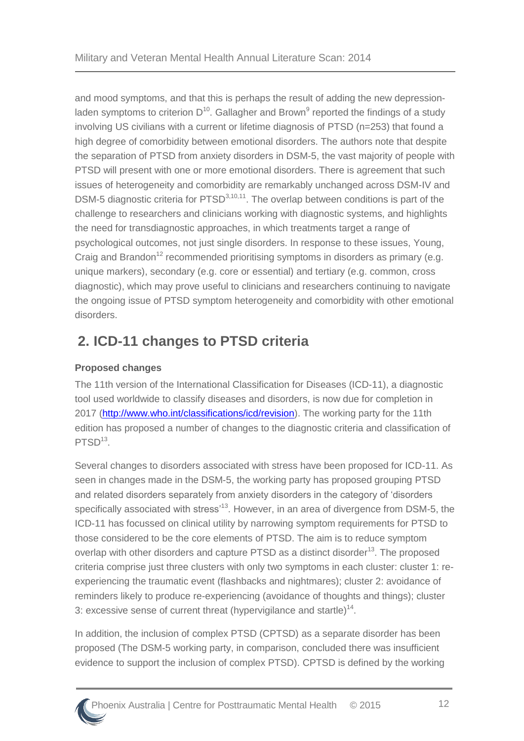and mood symptoms, and that this is perhaps the result of adding the new depressionladen symptoms to criterion  $D^{10}$  $D^{10}$  $D^{10}$ . Gallagher and Brown<sup>[9](#page-40-9)</sup> reported the findings of a study involving US civilians with a current or lifetime diagnosis of PTSD (n=253) that found a high degree of comorbidity between emotional disorders. The authors note that despite the separation of PTSD from anxiety disorders in DSM-5, the vast majority of people with PTSD will present with one or more emotional disorders. There is agreement that such issues of heterogeneity and comorbidity are remarkably unchanged across DSM-IV and DSM-5 diagnostic criteria for PTSD<sup>[3](#page-40-3)[,10,](#page-40-12)[11](#page-40-11)</sup>. The overlap between conditions is part of the challenge to researchers and clinicians working with diagnostic systems, and highlights the need for transdiagnostic approaches, in which treatments target a range of psychological outcomes, not just single disorders. In response to these issues, Young, Craig and Brandon<sup>[12](#page-40-10)</sup> recommended prioritising symptoms in disorders as primary (e.g. unique markers), secondary (e.g. core or essential) and tertiary (e.g. common, cross diagnostic), which may prove useful to clinicians and researchers continuing to navigate the ongoing issue of PTSD symptom heterogeneity and comorbidity with other emotional disorders.

### <span id="page-16-0"></span>**2. ICD-11 changes to PTSD criteria**

#### **Proposed changes**

The 11th version of the International Classification for Diseases (ICD-11), a diagnostic tool used worldwide to classify diseases and disorders, is now due for completion in 2017 [\(http://www.who.int/classifications/icd/revision\)](http://www.who.int/classifications/icd/revision). The working party for the 11th edition has proposed a number of changes to the diagnostic criteria and classification of PTSD<sup>[13](#page-40-13)</sup>.

Several changes to disorders associated with stress have been proposed for ICD-11. As seen in changes made in the DSM-5, the working party has proposed grouping PTSD and related disorders separately from anxiety disorders in the category of 'disorders specifically associated with stress<sup>[13](#page-40-13)</sup>. However, in an area of divergence from DSM-5, the ICD-11 has focussed on clinical utility by narrowing symptom requirements for PTSD to those considered to be the core elements of PTSD. The aim is to reduce symptom overlap with other disorders and capture PTSD as a distinct disorder<sup>[13](#page-40-13)</sup>. The proposed criteria comprise just three clusters with only two symptoms in each cluster: cluster 1: reexperiencing the traumatic event (flashbacks and nightmares); cluster 2: avoidance of reminders likely to produce re-experiencing (avoidance of thoughts and things); cluster 3: excessive sense of current threat (hypervigilance and startle)<sup>[14](#page-40-14)</sup>.

In addition, the inclusion of complex PTSD (CPTSD) as a separate disorder has been proposed (The DSM-5 working party, in comparison, concluded there was insufficient evidence to support the inclusion of complex PTSD). CPTSD is defined by the working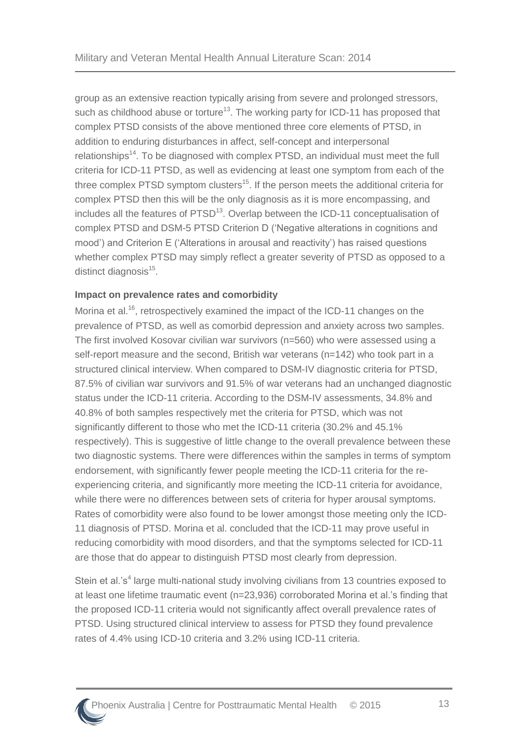group as an extensive reaction typically arising from severe and prolonged stressors, such as childhood abuse or torture<sup>[13](#page-40-13)</sup>. The working party for ICD-11 has proposed that complex PTSD consists of the above mentioned three core elements of PTSD, in addition to enduring disturbances in affect, self-concept and interpersonal relationships<sup>[14](#page-40-14)</sup>. To be diagnosed with complex PTSD, an individual must meet the full criteria for ICD-11 PTSD, as well as evidencing at least one symptom from each of the three complex PTSD symptom clusters<sup>[15](#page-40-15)</sup>. If the person meets the additional criteria for complex PTSD then this will be the only diagnosis as it is more encompassing, and includes all the features of PTSD<sup>[13](#page-40-13)</sup>. Overlap between the ICD-11 conceptualisation of complex PTSD and DSM-5 PTSD Criterion D ('Negative alterations in cognitions and mood') and Criterion E ('Alterations in arousal and reactivity') has raised questions whether complex PTSD may simply reflect a greater severity of PTSD as opposed to a distinct diagnosis<sup>[15](#page-40-15)</sup>.

#### **Impact on prevalence rates and comorbidity**

Morina et al.<sup>[16](#page-40-16)</sup>, retrospectively examined the impact of the ICD-11 changes on the prevalence of PTSD, as well as comorbid depression and anxiety across two samples. The first involved Kosovar civilian war survivors (n=560) who were assessed using a self-report measure and the second, British war veterans (n=142) who took part in a structured clinical interview. When compared to DSM-IV diagnostic criteria for PTSD, 87.5% of civilian war survivors and 91.5% of war veterans had an unchanged diagnostic status under the ICD-11 criteria. According to the DSM-IV assessments, 34.8% and 40.8% of both samples respectively met the criteria for PTSD, which was not significantly different to those who met the ICD-11 criteria (30.2% and 45.1% respectively). This is suggestive of little change to the overall prevalence between these two diagnostic systems. There were differences within the samples in terms of symptom endorsement, with significantly fewer people meeting the ICD-11 criteria for the reexperiencing criteria, and significantly more meeting the ICD-11 criteria for avoidance, while there were no differences between sets of criteria for hyper arousal symptoms. Rates of comorbidity were also found to be lower amongst those meeting only the ICD-11 diagnosis of PTSD. Morina et al. concluded that the ICD-11 may prove useful in reducing comorbidity with mood disorders, and that the symptoms selected for ICD-11 are those that do appear to distinguish PTSD most clearly from depression.

Stein et al.'s<sup>[4](#page-40-4)</sup> large multi-national study involving civilians from 13 countries exposed to at least one lifetime traumatic event (n=23,936) corroborated Morina et al.'s finding that the proposed ICD-11 criteria would not significantly affect overall prevalence rates of PTSD. Using structured clinical interview to assess for PTSD they found prevalence rates of 4.4% using ICD-10 criteria and 3.2% using ICD-11 criteria.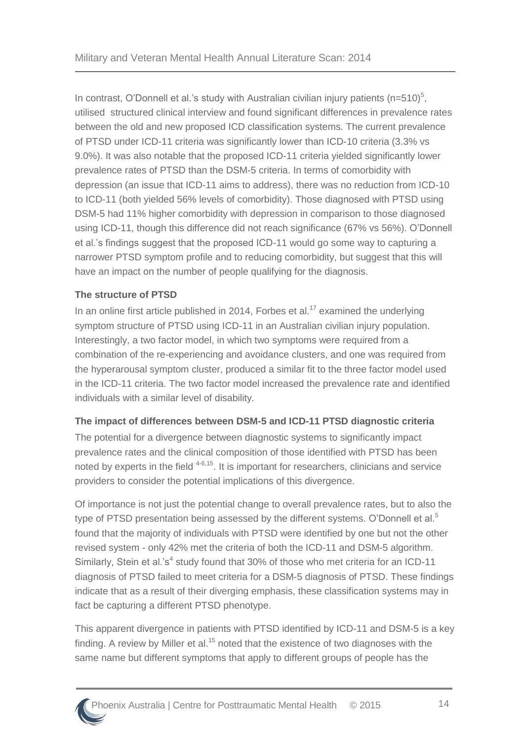In contrast, O'Donnell et al.'s study with Australian civilian injury patients (n=[5](#page-40-5)10)<sup>5</sup>, utilised structured clinical interview and found significant differences in prevalence rates between the old and new proposed ICD classification systems. The current prevalence of PTSD under ICD-11 criteria was significantly lower than ICD-10 criteria (3.3% vs 9.0%). It was also notable that the proposed ICD-11 criteria yielded significantly lower prevalence rates of PTSD than the DSM-5 criteria. In terms of comorbidity with depression (an issue that ICD-11 aims to address), there was no reduction from ICD-10 to ICD-11 (both yielded 56% levels of comorbidity). Those diagnosed with PTSD using DSM-5 had 11% higher comorbidity with depression in comparison to those diagnosed using ICD-11, though this difference did not reach significance (67% vs 56%). O'Donnell et al.'s findings suggest that the proposed ICD-11 would go some way to capturing a narrower PTSD symptom profile and to reducing comorbidity, but suggest that this will have an impact on the number of people qualifying for the diagnosis.

#### **The structure of PTSD**

In an online first article published in 2014, Forbes et al.<sup>[17](#page-41-0)</sup> examined the underlying symptom structure of PTSD using ICD-11 in an Australian civilian injury population. Interestingly, a two factor model, in which two symptoms were required from a combination of the re-experiencing and avoidance clusters, and one was required from the hyperarousal symptom cluster, produced a similar fit to the three factor model used in the ICD-11 criteria. The two factor model increased the prevalence rate and identified individuals with a similar level of disability.

#### **The impact of differences between DSM-5 and ICD-11 PTSD diagnostic criteria**

The potential for a divergence between diagnostic systems to significantly impact prevalence rates and the clinical composition of those identified with PTSD has been noted by experts in the field <sup>[4-6,](#page-40-4)[15](#page-40-15)</sup>. It is important for researchers, clinicians and service providers to consider the potential implications of this divergence.

Of importance is not just the potential change to overall prevalence rates, but to also the type of PTSD presentation being assessed by the different systems. O'Donnell et al. $5$ found that the majority of individuals with PTSD were identified by one but not the other revised system - only 42% met the criteria of both the ICD-11 and DSM-5 algorithm. Similarly, Stein et al.'[s](#page-40-4)<sup>4</sup> study found that 30% of those who met criteria for an ICD-11 diagnosis of PTSD failed to meet criteria for a DSM-5 diagnosis of PTSD. These findings indicate that as a result of their diverging emphasis, these classification systems may in fact be capturing a different PTSD phenotype.

This apparent divergence in patients with PTSD identified by ICD-11 and DSM-5 is a key finding. A review by Miller et al.<sup>[15](#page-40-15)</sup> noted that the existence of two diagnoses with the same name but different symptoms that apply to different groups of people has the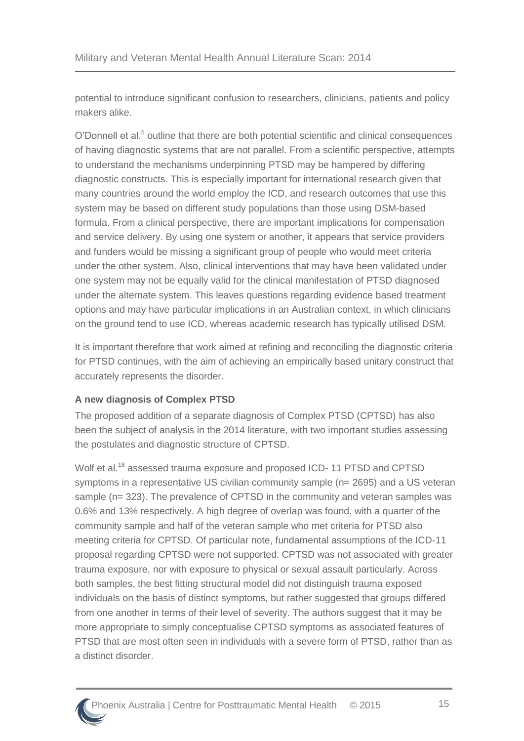potential to introduce significant confusion to researchers, clinicians, patients and policy makers alike.

O'Donnell et al[.](#page-40-5)<sup>5</sup> outline that there are both potential scientific and clinical consequences of having diagnostic systems that are not parallel. From a scientific perspective, attempts to understand the mechanisms underpinning PTSD may be hampered by differing diagnostic constructs. This is especially important for international research given that many countries around the world employ the ICD, and research outcomes that use this system may be based on different study populations than those using DSM-based formula. From a clinical perspective, there are important implications for compensation and service delivery. By using one system or another, it appears that service providers and funders would be missing a significant group of people who would meet criteria under the other system. Also, clinical interventions that may have been validated under one system may not be equally valid for the clinical manifestation of PTSD diagnosed under the alternate system. This leaves questions regarding evidence based treatment options and may have particular implications in an Australian context, in which clinicians on the ground tend to use ICD, whereas academic research has typically utilised DSM.

It is important therefore that work aimed at refining and reconciling the diagnostic criteria for PTSD continues, with the aim of achieving an empirically based unitary construct that accurately represents the disorder.

#### **A new diagnosis of Complex PTSD**

The proposed addition of a separate diagnosis of Complex PTSD (CPTSD) has also been the subject of analysis in the 2014 literature, with two important studies assessing the postulates and diagnostic structure of CPTSD.

Wolf et al.<sup>[18](#page-41-1)</sup> assessed trauma exposure and proposed ICD- 11 PTSD and CPTSD symptoms in a representative US civilian community sample (n= 2695) and a US veteran sample (n= 323). The prevalence of CPTSD in the community and veteran samples was 0.6% and 13% respectively. A high degree of overlap was found, with a quarter of the community sample and half of the veteran sample who met criteria for PTSD also meeting criteria for CPTSD. Of particular note, fundamental assumptions of the ICD-11 proposal regarding CPTSD were not supported. CPTSD was not associated with greater trauma exposure, nor with exposure to physical or sexual assault particularly. Across both samples, the best fitting structural model did not distinguish trauma exposed individuals on the basis of distinct symptoms, but rather suggested that groups differed from one another in terms of their level of severity. The authors suggest that it may be more appropriate to simply conceptualise CPTSD symptoms as associated features of PTSD that are most often seen in individuals with a severe form of PTSD, rather than as a distinct disorder.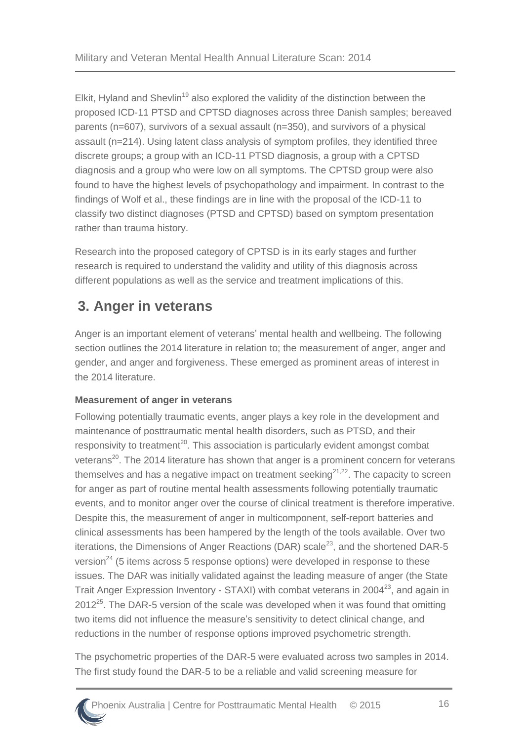Elkit, Hyland and Shevlin<sup>[19](#page-41-2)</sup> also explored the validity of the distinction between the proposed ICD-11 PTSD and CPTSD diagnoses across three Danish samples; bereaved parents (n=607), survivors of a sexual assault (n=350), and survivors of a physical assault (n=214). Using latent class analysis of symptom profiles, they identified three discrete groups; a group with an ICD-11 PTSD diagnosis, a group with a CPTSD diagnosis and a group who were low on all symptoms. The CPTSD group were also found to have the highest levels of psychopathology and impairment. In contrast to the findings of Wolf et al., these findings are in line with the proposal of the ICD-11 to classify two distinct diagnoses (PTSD and CPTSD) based on symptom presentation rather than trauma history.

Research into the proposed category of CPTSD is in its early stages and further research is required to understand the validity and utility of this diagnosis across different populations as well as the service and treatment implications of this.

# <span id="page-20-0"></span>**3. Anger in veterans**

Anger is an important element of veterans' mental health and wellbeing. The following section outlines the 2014 literature in relation to; the measurement of anger, anger and gender, and anger and forgiveness. These emerged as prominent areas of interest in the 2014 literature.

#### **Measurement of anger in veterans**

Following potentially traumatic events, anger plays a key role in the development and maintenance of posttraumatic mental health disorders, such as PTSD, and their responsivity to treatment<sup>[20](#page-41-3)</sup>. This association is particularly evident amongst combat veterans<sup>[20](#page-41-3)</sup>. The 2014 literature has shown that anger is a prominent concern for veterans themselves and has a negative impact on treatment seeking<sup>[21,](#page-41-4)[22](#page-41-5)</sup>. The capacity to screen for anger as part of routine mental health assessments following potentially traumatic events, and to monitor anger over the course of clinical treatment is therefore imperative. Despite this, the measurement of anger in multicomponent, self-report batteries and clinical assessments has been hampered by the length of the tools available. Over two iterations, the Dimensions of Anger Reactions (DAR) scale<sup>[23](#page-41-6)</sup>, and the shortened DAR-5 version<sup>[24](#page-41-7)</sup> (5 items across 5 response options) were developed in response to these issues. The DAR was initially validated against the leading measure of anger (the State Trait Anger Expression Inventory - STAXI) with combat veterans in 2004<sup>[23](#page-41-6)</sup>, and again in  $2012^{25}$  $2012^{25}$  $2012^{25}$ . The DAR-5 version of the scale was developed when it was found that omitting two items did not influence the measure's sensitivity to detect clinical change, and reductions in the number of response options improved psychometric strength.

The psychometric properties of the DAR-5 were evaluated across two samples in 2014. The first study found the DAR-5 to be a reliable and valid screening measure for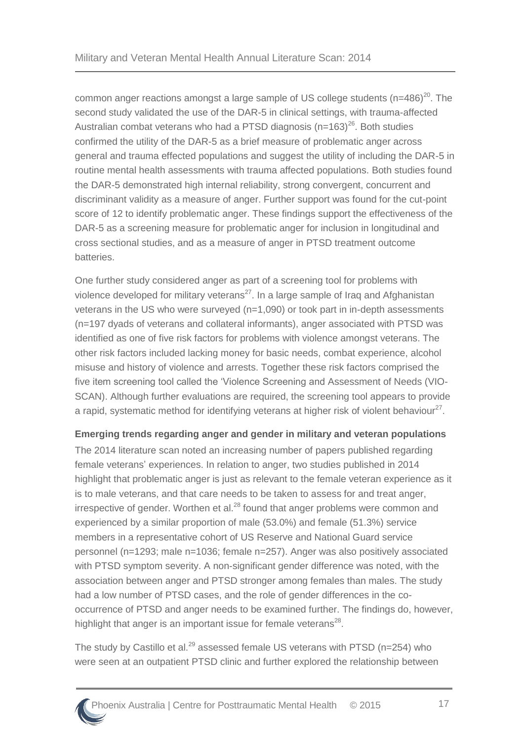common anger reactions amongst a large sample of US college students  $(n=486)^{20}$  $(n=486)^{20}$  $(n=486)^{20}$ . The second study validated the use of the DAR-5 in clinical settings, with trauma-affected Australian combat veterans who had a PTSD diagnosis ( $n=163$ )<sup>[26](#page-41-9)</sup>. Both studies confirmed the utility of the DAR-5 as a brief measure of problematic anger across general and trauma effected populations and suggest the utility of including the DAR-5 in routine mental health assessments with trauma affected populations. Both studies found the DAR-5 demonstrated high internal reliability, strong convergent, concurrent and discriminant validity as a measure of anger. Further support was found for the cut-point score of 12 to identify problematic anger. These findings support the effectiveness of the DAR-5 as a screening measure for problematic anger for inclusion in longitudinal and cross sectional studies, and as a measure of anger in PTSD treatment outcome batteries.

One further study considered anger as part of a screening tool for problems with violence developed for military veterans<sup>[27](#page-41-10)</sup>. In a large sample of Iraq and Afghanistan veterans in the US who were surveyed (n=1,090) or took part in in-depth assessments (n=197 dyads of veterans and collateral informants), anger associated with PTSD was identified as one of five risk factors for problems with violence amongst veterans. The other risk factors included lacking money for basic needs, combat experience, alcohol misuse and history of violence and arrests. Together these risk factors comprised the five item screening tool called the 'Violence Screening and Assessment of Needs (VIO-SCAN). Although further evaluations are required, the screening tool appears to provide a rapid, systematic method for identifying veterans at higher risk of violent behaviour<sup>[27](#page-41-10)</sup>.

#### **Emerging trends regarding anger and gender in military and veteran populations**

The 2014 literature scan noted an increasing number of papers published regarding female veterans' experiences. In relation to anger, two studies published in 2014 highlight that problematic anger is just as relevant to the female veteran experience as it is to male veterans, and that care needs to be taken to assess for and treat anger, irrespective of gender. Worthen et al. $^{28}$  $^{28}$  $^{28}$  found that anger problems were common and experienced by a similar proportion of male (53.0%) and female (51.3%) service members in a representative cohort of US Reserve and National Guard service personnel (n=1293; male n=1036; female n=257). Anger was also positively associated with PTSD symptom severity. A non-significant gender difference was noted, with the association between anger and PTSD stronger among females than males. The study had a low number of PTSD cases, and the role of gender differences in the cooccurrence of PTSD and anger needs to be examined further. The findings do, however, highlight that anger is an important issue for female veterans $^{28}$  $^{28}$  $^{28}$ .

The study by Castillo et al.<sup>[29](#page-41-12)</sup> assessed female US veterans with PTSD ( $n=254$ ) who were seen at an outpatient PTSD clinic and further explored the relationship between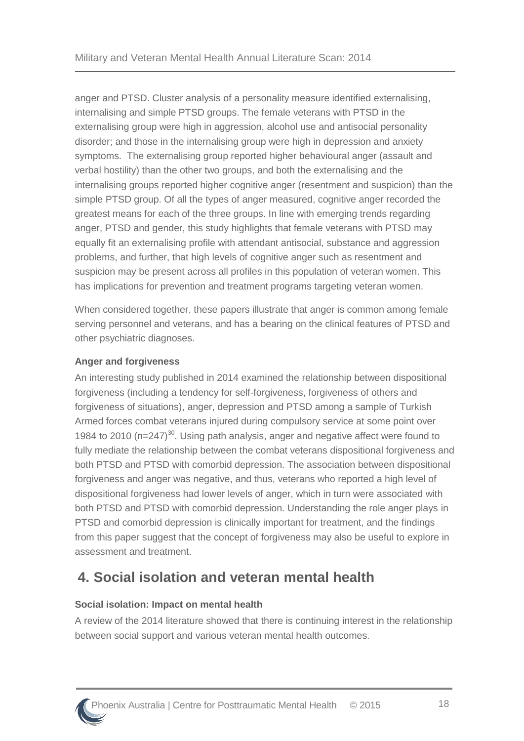anger and PTSD. Cluster analysis of a personality measure identified externalising, internalising and simple PTSD groups. The female veterans with PTSD in the externalising group were high in aggression, alcohol use and antisocial personality disorder; and those in the internalising group were high in depression and anxiety symptoms. The externalising group reported higher behavioural anger (assault and verbal hostility) than the other two groups, and both the externalising and the internalising groups reported higher cognitive anger (resentment and suspicion) than the simple PTSD group. Of all the types of anger measured, cognitive anger recorded the greatest means for each of the three groups. In line with emerging trends regarding anger, PTSD and gender, this study highlights that female veterans with PTSD may equally fit an externalising profile with attendant antisocial, substance and aggression problems, and further, that high levels of cognitive anger such as resentment and suspicion may be present across all profiles in this population of veteran women. This has implications for prevention and treatment programs targeting veteran women.

When considered together, these papers illustrate that anger is common among female serving personnel and veterans, and has a bearing on the clinical features of PTSD and other psychiatric diagnoses.

#### **Anger and forgiveness**

An interesting study published in 2014 examined the relationship between dispositional forgiveness (including a tendency for self-forgiveness, forgiveness of others and forgiveness of situations), anger, depression and PTSD among a sample of Turkish Armed forces combat veterans injured during compulsory service at some point over 1984 to 2010 ( $n=247$ )<sup>[30](#page-41-13)</sup>. Using path analysis, anger and negative affect were found to fully mediate the relationship between the combat veterans dispositional forgiveness and both PTSD and PTSD with comorbid depression. The association between dispositional forgiveness and anger was negative, and thus, veterans who reported a high level of dispositional forgiveness had lower levels of anger, which in turn were associated with both PTSD and PTSD with comorbid depression. Understanding the role anger plays in PTSD and comorbid depression is clinically important for treatment, and the findings from this paper suggest that the concept of forgiveness may also be useful to explore in assessment and treatment.

### <span id="page-22-0"></span>**4. Social isolation and veteran mental health**

#### **Social isolation: Impact on mental health**

A review of the 2014 literature showed that there is continuing interest in the relationship between social support and various veteran mental health outcomes.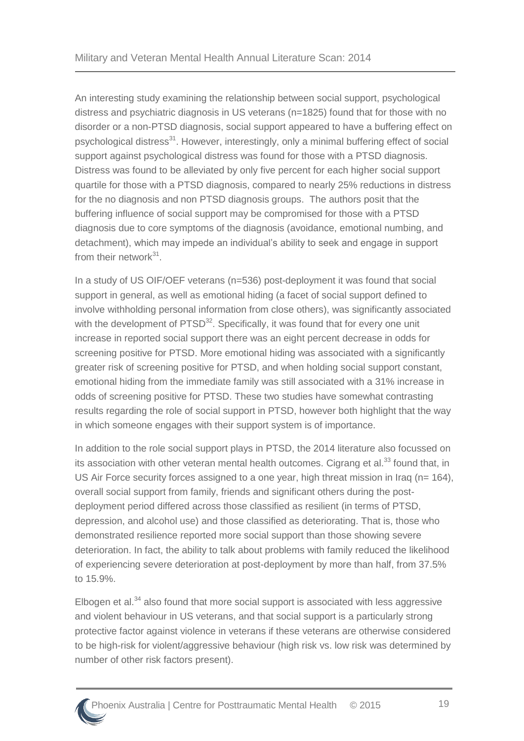An interesting study examining the relationship between social support, psychological distress and psychiatric diagnosis in US veterans (n=1825) found that for those with no disorder or a non-PTSD diagnosis, social support appeared to have a buffering effect on psychological distress<sup>[31](#page-41-14)</sup>. However, interestingly, only a minimal buffering effect of social support against psychological distress was found for those with a PTSD diagnosis. Distress was found to be alleviated by only five percent for each higher social support quartile for those with a PTSD diagnosis, compared to nearly 25% reductions in distress for the no diagnosis and non PTSD diagnosis groups. The authors posit that the buffering influence of social support may be compromised for those with a PTSD diagnosis due to core symptoms of the diagnosis (avoidance, emotional numbing, and detachment), which may impede an individual's ability to seek and engage in support from their network<sup>[31](#page-41-14)</sup>.

In a study of US OIF/OEF veterans (n=536) post-deployment it was found that social support in general, as well as emotional hiding (a facet of social support defined to involve withholding personal information from close others), was significantly associated with the development of PTSD<sup>[32](#page-41-15)</sup>. Specifically, it was found that for every one unit increase in reported social support there was an eight percent decrease in odds for screening positive for PTSD. More emotional hiding was associated with a significantly greater risk of screening positive for PTSD, and when holding social support constant, emotional hiding from the immediate family was still associated with a 31% increase in odds of screening positive for PTSD. These two studies have somewhat contrasting results regarding the role of social support in PTSD, however both highlight that the way in which someone engages with their support system is of importance.

In addition to the role social support plays in PTSD, the 2014 literature also focussed on its association with other veteran mental health outcomes. Cigrang et al. $^{33}$  $^{33}$  $^{33}$  found that, in US Air Force security forces assigned to a one year, high threat mission in Iraq (n= 164), overall social support from family, friends and significant others during the postdeployment period differed across those classified as resilient (in terms of PTSD, depression, and alcohol use) and those classified as deteriorating. That is, those who demonstrated resilience reported more social support than those showing severe deterioration. In fact, the ability to talk about problems with family reduced the likelihood of experiencing severe deterioration at post-deployment by more than half, from 37.5% to 15.9%.

Elbogen et al.<sup>[34](#page-42-1)</sup> also found that more social support is associated with less aggressive and violent behaviour in US veterans, and that social support is a particularly strong protective factor against violence in veterans if these veterans are otherwise considered to be high-risk for violent/aggressive behaviour (high risk vs. low risk was determined by number of other risk factors present).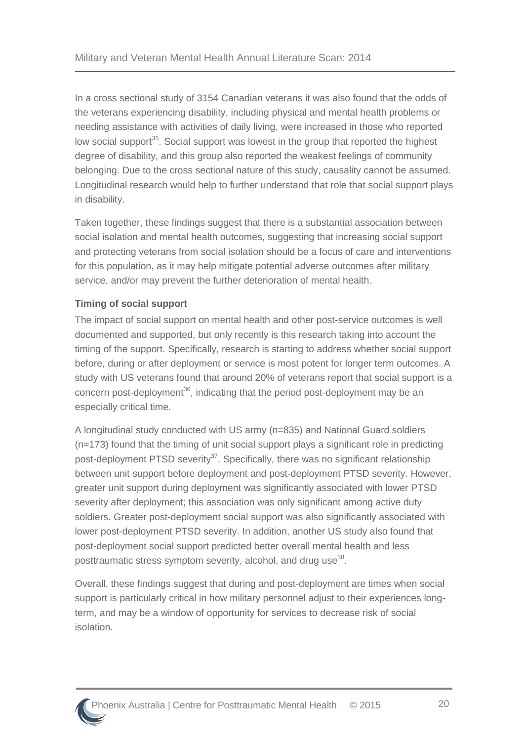In a cross sectional study of 3154 Canadian veterans it was also found that the odds of the veterans experiencing disability, including physical and mental health problems or needing assistance with activities of daily living, were increased in those who reported low social support<sup>[35](#page-42-2)</sup>. Social support was lowest in the group that reported the highest degree of disability, and this group also reported the weakest feelings of community belonging. Due to the cross sectional nature of this study, causality cannot be assumed. Longitudinal research would help to further understand that role that social support plays in disability.

Taken together, these findings suggest that there is a substantial association between social isolation and mental health outcomes, suggesting that increasing social support and protecting veterans from social isolation should be a focus of care and interventions for this population, as it may help mitigate potential adverse outcomes after military service, and/or may prevent the further deterioration of mental health.

#### **Timing of social support**

The impact of social support on mental health and other post-service outcomes is well documented and supported, but only recently is this research taking into account the timing of the support. Specifically, research is starting to address whether social support before, during or after deployment or service is most potent for longer term outcomes. A study with US veterans found that around 20% of veterans report that social support is a concern post-deployment<sup>[36](#page-42-3)</sup>, indicating that the period post-deployment may be an especially critical time.

A longitudinal study conducted with US army (n=835) and National Guard soldiers (n=173) found that the timing of unit social support plays a significant role in predicting post-deployment PTSD severity<sup>[37](#page-42-4)</sup>. Specifically, there was no significant relationship between unit support before deployment and post-deployment PTSD severity. However, greater unit support during deployment was significantly associated with lower PTSD severity after deployment; this association was only significant among active duty soldiers. Greater post-deployment social support was also significantly associated with lower post-deployment PTSD severity. In addition, another US study also found that post-deployment social support predicted better overall mental health and less posttraumatic stress symptom severity, alcohol, and drug use<sup>[38](#page-42-5)</sup>.

Overall, these findings suggest that during and post-deployment are times when social support is particularly critical in how military personnel adjust to their experiences longterm, and may be a window of opportunity for services to decrease risk of social isolation.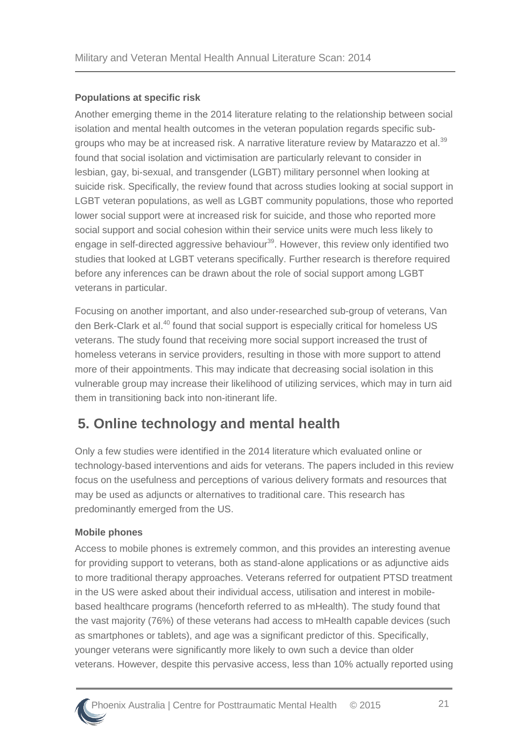#### **Populations at specific risk**

Another emerging theme in the 2014 literature relating to the relationship between social isolation and mental health outcomes in the veteran population regards specific sub-groups who may be at increased risk. A narrative literature review by Matarazzo et al.<sup>[39](#page-42-6)</sup> found that social isolation and victimisation are particularly relevant to consider in lesbian, gay, bi-sexual, and transgender (LGBT) military personnel when looking at suicide risk. Specifically, the review found that across studies looking at social support in LGBT veteran populations, as well as LGBT community populations, those who reported lower social support were at increased risk for suicide, and those who reported more social support and social cohesion within their service units were much less likely to engage in self-directed aggressive behaviour<sup>[39](#page-42-6)</sup>. However, this review only identified two studies that looked at LGBT veterans specifically. Further research is therefore required before any inferences can be drawn about the role of social support among LGBT veterans in particular.

Focusing on another important, and also under-researched sub-group of veterans, Van den Berk-Clark et al.<sup>[40](#page-42-7)</sup> found that social support is especially critical for homeless US veterans. The study found that receiving more social support increased the trust of homeless veterans in service providers, resulting in those with more support to attend more of their appointments. This may indicate that decreasing social isolation in this vulnerable group may increase their likelihood of utilizing services, which may in turn aid them in transitioning back into non-itinerant life.

### <span id="page-25-0"></span>**5. Online technology and mental health**

Only a few studies were identified in the 2014 literature which evaluated online or technology-based interventions and aids for veterans. The papers included in this review focus on the usefulness and perceptions of various delivery formats and resources that may be used as adjuncts or alternatives to traditional care. This research has predominantly emerged from the US.

#### **Mobile phones**

Access to mobile phones is extremely common, and this provides an interesting avenue for providing support to veterans, both as stand-alone applications or as adjunctive aids to more traditional therapy approaches. Veterans referred for outpatient PTSD treatment in the US were asked about their individual access, utilisation and interest in mobilebased healthcare programs (henceforth referred to as mHealth). The study found that the vast majority (76%) of these veterans had access to mHealth capable devices (such as smartphones or tablets), and age was a significant predictor of this. Specifically, younger veterans were significantly more likely to own such a device than older veterans. However, despite this pervasive access, less than 10% actually reported using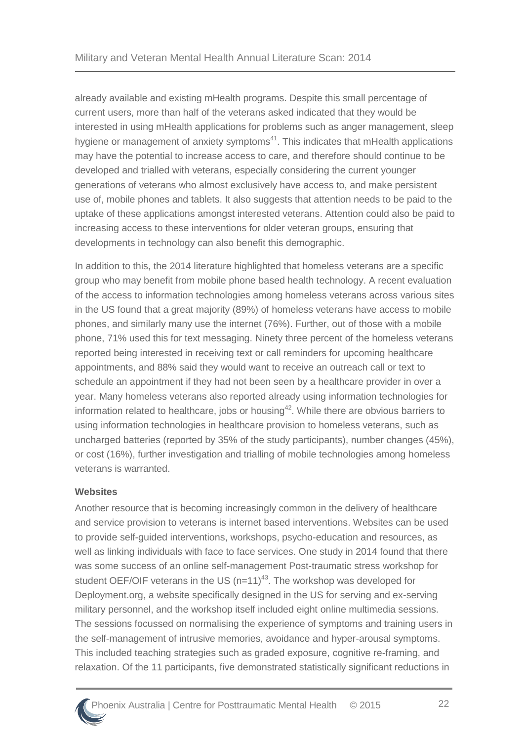already available and existing mHealth programs. Despite this small percentage of current users, more than half of the veterans asked indicated that they would be interested in using mHealth applications for problems such as anger management, sleep hygiene or management of anxiety symptoms $41$ . This indicates that mHealth applications may have the potential to increase access to care, and therefore should continue to be developed and trialled with veterans, especially considering the current younger generations of veterans who almost exclusively have access to, and make persistent use of, mobile phones and tablets. It also suggests that attention needs to be paid to the uptake of these applications amongst interested veterans. Attention could also be paid to increasing access to these interventions for older veteran groups, ensuring that developments in technology can also benefit this demographic.

In addition to this, the 2014 literature highlighted that homeless veterans are a specific group who may benefit from mobile phone based health technology. A recent evaluation of the access to information technologies among homeless veterans across various sites in the US found that a great majority (89%) of homeless veterans have access to mobile phones, and similarly many use the internet (76%). Further, out of those with a mobile phone, 71% used this for text messaging. Ninety three percent of the homeless veterans reported being interested in receiving text or call reminders for upcoming healthcare appointments, and 88% said they would want to receive an outreach call or text to schedule an appointment if they had not been seen by a healthcare provider in over a year. Many homeless veterans also reported already using information technologies for information related to healthcare, jobs or housing<sup>[42](#page-42-9)</sup>. While there are obvious barriers to using information technologies in healthcare provision to homeless veterans, such as uncharged batteries (reported by 35% of the study participants), number changes (45%), or cost (16%), further investigation and trialling of mobile technologies among homeless veterans is warranted.

#### **Websites**

Another resource that is becoming increasingly common in the delivery of healthcare and service provision to veterans is internet based interventions. Websites can be used to provide self-guided interventions, workshops, psycho-education and resources, as well as linking individuals with face to face services. One study in 2014 found that there was some success of an online self-management Post-traumatic stress workshop for student OEF/OIF veterans in the US  $(n=11)^{43}$  $(n=11)^{43}$  $(n=11)^{43}$ . The workshop was developed for Deployment.org, a website specifically designed in the US for serving and ex-serving military personnel, and the workshop itself included eight online multimedia sessions. The sessions focussed on normalising the experience of symptoms and training users in the self-management of intrusive memories, avoidance and hyper-arousal symptoms. This included teaching strategies such as graded exposure, cognitive re-framing, and relaxation. Of the 11 participants, five demonstrated statistically significant reductions in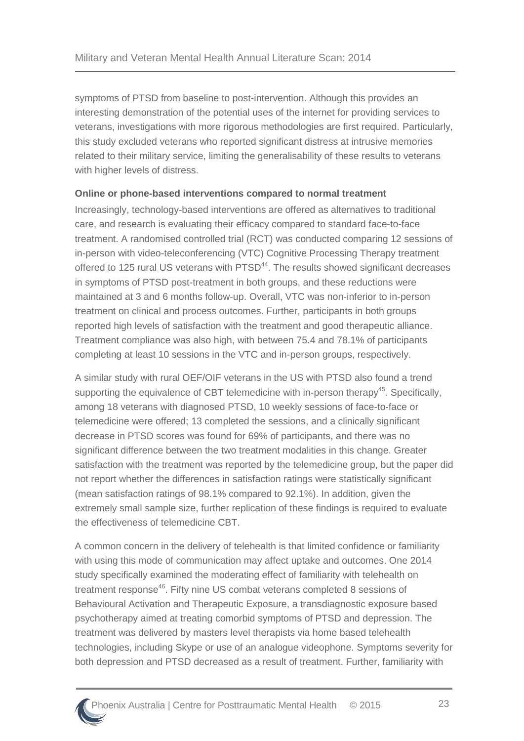symptoms of PTSD from baseline to post-intervention. Although this provides an interesting demonstration of the potential uses of the internet for providing services to veterans, investigations with more rigorous methodologies are first required. Particularly, this study excluded veterans who reported significant distress at intrusive memories related to their military service, limiting the generalisability of these results to veterans with higher levels of distress.

#### **Online or phone-based interventions compared to normal treatment**

Increasingly, technology-based interventions are offered as alternatives to traditional care, and research is evaluating their efficacy compared to standard face-to-face treatment. A randomised controlled trial (RCT) was conducted comparing 12 sessions of in-person with video-teleconferencing (VTC) Cognitive Processing Therapy treatment offered to 125 rural US veterans with PTSD<sup>[44](#page-42-11)</sup>. The results showed significant decreases in symptoms of PTSD post-treatment in both groups, and these reductions were maintained at 3 and 6 months follow-up. Overall, VTC was non-inferior to in-person treatment on clinical and process outcomes. Further, participants in both groups reported high levels of satisfaction with the treatment and good therapeutic alliance. Treatment compliance was also high, with between 75.4 and 78.1% of participants completing at least 10 sessions in the VTC and in-person groups, respectively.

A similar study with rural OEF/OIF veterans in the US with PTSD also found a trend supporting the equivalence of CBT telemedicine with in-person therapy<sup>[45](#page-42-12)</sup>. Specifically, among 18 veterans with diagnosed PTSD, 10 weekly sessions of face-to-face or telemedicine were offered; 13 completed the sessions, and a clinically significant decrease in PTSD scores was found for 69% of participants, and there was no significant difference between the two treatment modalities in this change. Greater satisfaction with the treatment was reported by the telemedicine group, but the paper did not report whether the differences in satisfaction ratings were statistically significant (mean satisfaction ratings of 98.1% compared to 92.1%). In addition, given the extremely small sample size, further replication of these findings is required to evaluate the effectiveness of telemedicine CBT.

A common concern in the delivery of telehealth is that limited confidence or familiarity with using this mode of communication may affect uptake and outcomes. One 2014 study specifically examined the moderating effect of familiarity with telehealth on treatment response<sup>[46](#page-42-13)</sup>. Fifty nine US combat veterans completed 8 sessions of Behavioural Activation and Therapeutic Exposure, a transdiagnostic exposure based psychotherapy aimed at treating comorbid symptoms of PTSD and depression. The treatment was delivered by masters level therapists via home based telehealth technologies, including Skype or use of an analogue videophone. Symptoms severity for both depression and PTSD decreased as a result of treatment. Further, familiarity with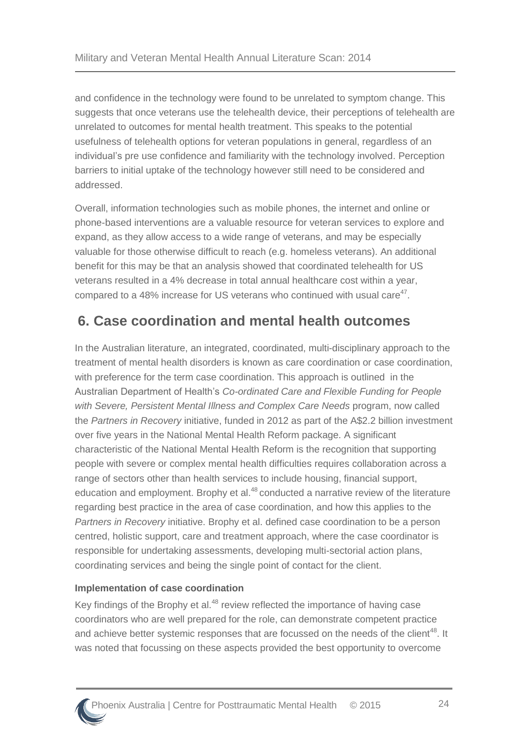and confidence in the technology were found to be unrelated to symptom change. This suggests that once veterans use the telehealth device, their perceptions of telehealth are unrelated to outcomes for mental health treatment. This speaks to the potential usefulness of telehealth options for veteran populations in general, regardless of an individual's pre use confidence and familiarity with the technology involved. Perception barriers to initial uptake of the technology however still need to be considered and addressed.

Overall, information technologies such as mobile phones, the internet and online or phone-based interventions are a valuable resource for veteran services to explore and expand, as they allow access to a wide range of veterans, and may be especially valuable for those otherwise difficult to reach (e.g. homeless veterans). An additional benefit for this may be that an analysis showed that coordinated telehealth for US veterans resulted in a 4% decrease in total annual healthcare cost within a year, compared to a 48% increase for US veterans who continued with usual care $47$ .

# <span id="page-28-0"></span>**6. Case coordination and mental health outcomes**

In the Australian literature, an integrated, coordinated, multi-disciplinary approach to the treatment of mental health disorders is known as care coordination or case coordination, with preference for the term case coordination. This approach is outlined in the Australian Department of Health's *Co-ordinated Care and Flexible Funding for People with Severe, Persistent Mental Illness and Complex Care Needs* program, now called the *Partners in Recovery* initiative, funded in 2012 as part of the A\$2.2 billion investment over five years in the National Mental Health Reform package. A significant characteristic of the National Mental Health Reform is the recognition that supporting people with severe or complex mental health difficulties requires collaboration across a range of sectors other than health services to include housing, financial support, education and employment. Brophy et al.<sup>[48](#page-43-0)</sup> conducted a narrative review of the literature regarding best practice in the area of case coordination, and how this applies to the *Partners in Recovery* initiative. Brophy et al. defined case coordination to be a person centred, holistic support, care and treatment approach, where the case coordinator is responsible for undertaking assessments, developing multi-sectorial action plans, coordinating services and being the single point of contact for the client.

#### **Implementation of case coordination**

Key findings of the Brophy et al.<sup>[48](#page-43-0)</sup> review reflected the importance of having case coordinators who are well prepared for the role, can demonstrate competent practice and achieve better systemic responses that are focussed on the needs of the client<sup>[48](#page-43-0)</sup>. It was noted that focussing on these aspects provided the best opportunity to overcome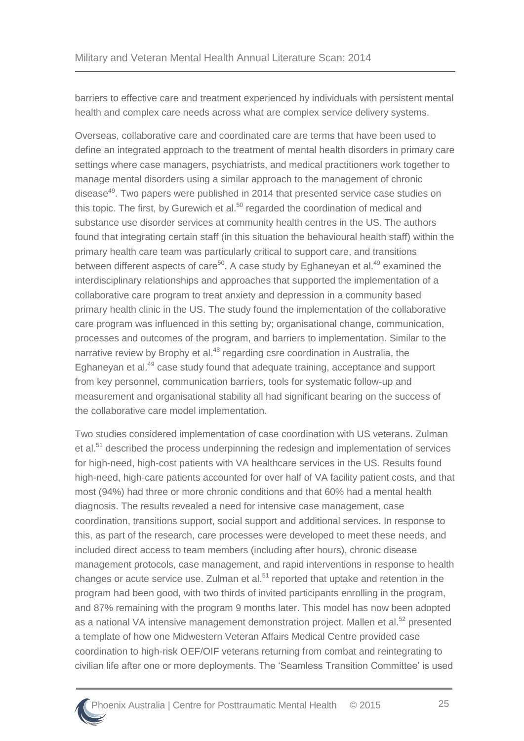barriers to effective care and treatment experienced by individuals with persistent mental health and complex care needs across what are complex service delivery systems.

Overseas, collaborative care and coordinated care are terms that have been used to define an integrated approach to the treatment of mental health disorders in primary care settings where case managers, psychiatrists, and medical practitioners work together to manage mental disorders using a similar approach to the management of chronic disease<sup>[49](#page-43-1)</sup>. Two papers were published in 2014 that presented service case studies on this topic. The first, by Gurewich et al.<sup>[50](#page-43-2)</sup> regarded the coordination of medical and substance use disorder services at community health centres in the US. The authors found that integrating certain staff (in this situation the behavioural health staff) within the primary health care team was particularly critical to support care, and transitions between different aspects of care<sup>[50](#page-43-2)</sup>. A case study by Eghaneyan et al.<sup>[49](#page-43-1)</sup> examined the interdisciplinary relationships and approaches that supported the implementation of a collaborative care program to treat anxiety and depression in a community based primary health clinic in the US. The study found the implementation of the collaborative care program was influenced in this setting by; organisational change, communication, processes and outcomes of the program, and barriers to implementation. Similar to the narrative review by Brophy et al.<sup>[48](#page-43-0)</sup> regarding csre coordination in Australia, the Eghaneyan et al.<sup>[49](#page-43-1)</sup> case study found that adequate training, acceptance and support from key personnel, communication barriers, tools for systematic follow-up and measurement and organisational stability all had significant bearing on the success of the collaborative care model implementation.

Two studies considered implementation of case coordination with US veterans. Zulman et al.<sup>[51](#page-43-3)</sup> described the process underpinning the redesign and implementation of services for high-need, high-cost patients with VA healthcare services in the US. Results found high-need, high-care patients accounted for over half of VA facility patient costs, and that most (94%) had three or more chronic conditions and that 60% had a mental health diagnosis. The results revealed a need for intensive case management, case coordination, transitions support, social support and additional services. In response to this, as part of the research, care processes were developed to meet these needs, and included direct access to team members (including after hours), chronic disease management protocols, case management, and rapid interventions in response to health changes or acute service use. Zulman et al.<sup>[51](#page-43-3)</sup> reported that uptake and retention in the program had been good, with two thirds of invited participants enrolling in the program, and 87% remaining with the program 9 months later. This model has now been adopted as a national VA intensive management demonstration project. Mallen et al.<sup>[52](#page-43-4)</sup> presented a template of how one Midwestern Veteran Affairs Medical Centre provided case coordination to high-risk OEF/OIF veterans returning from combat and reintegrating to civilian life after one or more deployments. The 'Seamless Transition Committee' is used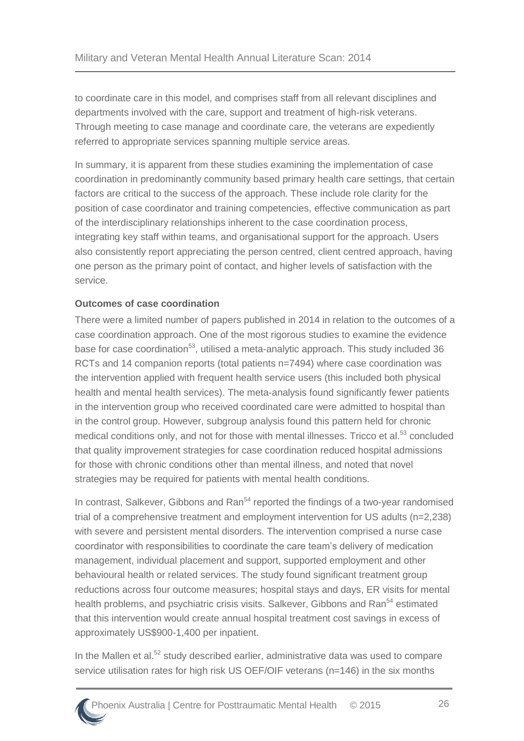to coordinate care in this model, and comprises staff from all relevant disciplines and departments involved with the care, support and treatment of high-risk veterans. Through meeting to case manage and coordinate care, the veterans are expediently referred to appropriate services spanning multiple service areas.

In summary, it is apparent from these studies examining the implementation of case coordination in predominantly community based primary health care settings, that certain factors are critical to the success of the approach. These include role clarity for the position of case coordinator and training competencies, effective communication as part of the interdisciplinary relationships inherent to the case coordination process, integrating key staff within teams, and organisational support for the approach. Users also consistently report appreciating the person centred, client centred approach, having one person as the primary point of contact, and higher levels of satisfaction with the service.

#### **Outcomes of case coordination**

There were a limited number of papers published in 2014 in relation to the outcomes of a case coordination approach. One of the most rigorous studies to examine the evidence base for case coordination<sup>[53](#page-43-5)</sup>, utilised a meta-analytic approach. This study included 36 RCTs and 14 companion reports (total patients n=7494) where case coordination was the intervention applied with frequent health service users (this included both physical health and mental health services). The meta-analysis found significantly fewer patients in the intervention group who received coordinated care were admitted to hospital than in the control group. However, subgroup analysis found this pattern held for chronic medical conditions only, and not for those with mental illnesses. Tricco et al.<sup>[53](#page-43-5)</sup> concluded that quality improvement strategies for case coordination reduced hospital admissions for those with chronic conditions other than mental illness, and noted that novel strategies may be required for patients with mental health conditions.

In contrast, Salkever, Gibbons and  $\text{Ran}^{54}$  $\text{Ran}^{54}$  $\text{Ran}^{54}$  reported the findings of a two-year randomised trial of a comprehensive treatment and employment intervention for US adults (n=2,238) with severe and persistent mental disorders. The intervention comprised a nurse case coordinator with responsibilities to coordinate the care team's delivery of medication management, individual placement and support, supported employment and other behavioural health or related services. The study found significant treatment group reductions across four outcome measures; hospital stays and days, ER visits for mental health problems, and psychiatric crisis visits. Salkever, Gibbons and Ran<sup>[54](#page-43-6)</sup> estimated that this intervention would create annual hospital treatment cost savings in excess of approximately US\$900-1,400 per inpatient.

In the Mallen et al.<sup>[52](#page-43-4)</sup> study described earlier, administrative data was used to compare service utilisation rates for high risk US OEF/OIF veterans (n=146) in the six months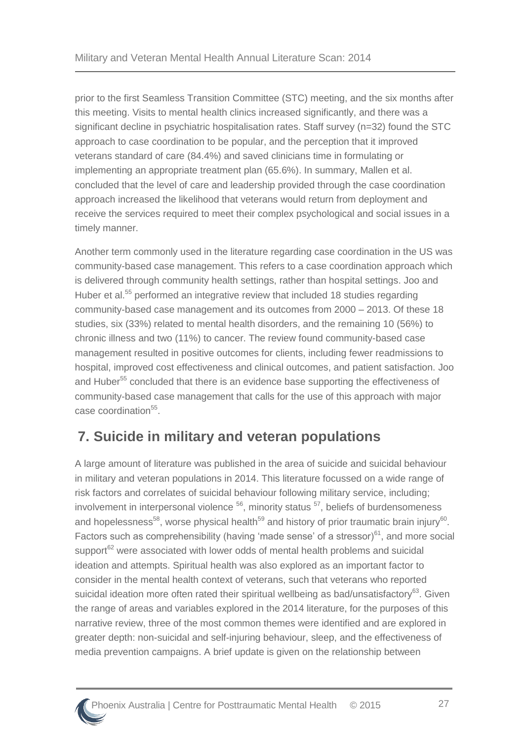prior to the first Seamless Transition Committee (STC) meeting, and the six months after this meeting. Visits to mental health clinics increased significantly, and there was a significant decline in psychiatric hospitalisation rates. Staff survey (n=32) found the STC approach to case coordination to be popular, and the perception that it improved veterans standard of care (84.4%) and saved clinicians time in formulating or implementing an appropriate treatment plan (65.6%). In summary, Mallen et al. concluded that the level of care and leadership provided through the case coordination approach increased the likelihood that veterans would return from deployment and receive the services required to meet their complex psychological and social issues in a timely manner.

Another term commonly used in the literature regarding case coordination in the US was community-based case management. This refers to a case coordination approach which is delivered through community health settings, rather than hospital settings. Joo and Huber et al.<sup>[55](#page-43-7)</sup> performed an integrative review that included 18 studies regarding community-based case management and its outcomes from 2000 – 2013. Of these 18 studies, six (33%) related to mental health disorders, and the remaining 10 (56%) to chronic illness and two (11%) to cancer. The review found community-based case management resulted in positive outcomes for clients, including fewer readmissions to hospital, improved cost effectiveness and clinical outcomes, and patient satisfaction. Joo and Huber<sup>[55](#page-43-7)</sup> concluded that there is an evidence base supporting the effectiveness of community-based case management that calls for the use of this approach with major case coordination<sup>[55](#page-43-7)</sup>.

### <span id="page-31-0"></span>**7. Suicide in military and veteran populations**

A large amount of literature was published in the area of suicide and suicidal behaviour in military and veteran populations in 2014. This literature focussed on a wide range of risk factors and correlates of suicidal behaviour following military service, including; involvement in interpersonal violence  $56$ , minority status  $57$ , beliefs of burdensomeness and hopelessness<sup>[58](#page-43-10)</sup>, worse physical health<sup>[59](#page-43-11)</sup> and history of prior traumatic brain injury<sup>[60](#page-43-12)</sup>. Factors such as comprehensibility (having 'made sense' of a stressor) $61$ , and more social support<sup>[62](#page-43-14)</sup> were associated with lower odds of mental health problems and suicidal ideation and attempts. Spiritual health was also explored as an important factor to consider in the mental health context of veterans, such that veterans who reported suicidal ideation more often rated their spiritual wellbeing as bad/unsatisfactory<sup>[63](#page-44-0)</sup>. Given the range of areas and variables explored in the 2014 literature, for the purposes of this narrative review, three of the most common themes were identified and are explored in greater depth: non-suicidal and self-injuring behaviour, sleep, and the effectiveness of media prevention campaigns. A brief update is given on the relationship between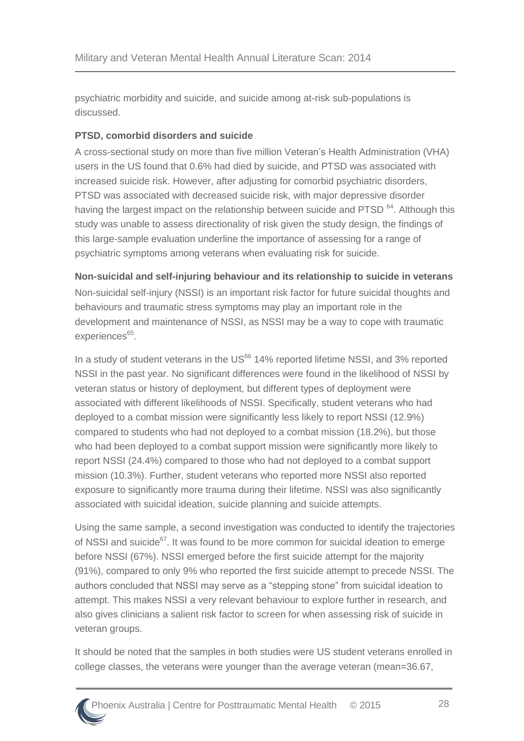psychiatric morbidity and suicide, and suicide among at-risk sub-populations is discussed.

#### **PTSD, comorbid disorders and suicide**

A cross-sectional study on more than five million Veteran's Health Administration (VHA) users in the US found that 0.6% had died by suicide, and PTSD was associated with increased suicide risk. However, after adjusting for comorbid psychiatric disorders, PTSD was associated with decreased suicide risk, with major depressive disorder having the largest impact on the relationship between suicide and PTSD<sup>[64](#page-44-1)</sup>. Although this study was unable to assess directionality of risk given the study design, the findings of this large-sample evaluation underline the importance of assessing for a range of psychiatric symptoms among veterans when evaluating risk for suicide.

**Non-suicidal and self-injuring behaviour and its relationship to suicide in veterans**  Non-suicidal self-injury (NSSI) is an important risk factor for future suicidal thoughts and behaviours and traumatic stress symptoms may play an important role in the development and maintenance of NSSI, as NSSI may be a way to cope with traumatic experiences<sup>[65](#page-44-2)</sup>.

In a study of student veterans in the  $US^{66}$  $US^{66}$  $US^{66}$  14% reported lifetime NSSI, and 3% reported NSSI in the past year. No significant differences were found in the likelihood of NSSI by veteran status or history of deployment, but different types of deployment were associated with different likelihoods of NSSI. Specifically, student veterans who had deployed to a combat mission were significantly less likely to report NSSI (12.9%) compared to students who had not deployed to a combat mission (18.2%), but those who had been deployed to a combat support mission were significantly more likely to report NSSI (24.4%) compared to those who had not deployed to a combat support mission (10.3%). Further, student veterans who reported more NSSI also reported exposure to significantly more trauma during their lifetime. NSSI was also significantly associated with suicidal ideation, suicide planning and suicide attempts.

Using the same sample, a second investigation was conducted to identify the trajectories of NSSI and suicide<sup>[67](#page-44-4)</sup>. It was found to be more common for suicidal ideation to emerge before NSSI (67%). NSSI emerged before the first suicide attempt for the majority (91%), compared to only 9% who reported the first suicide attempt to precede NSSI. The authors concluded that NSSI may serve as a "stepping stone" from suicidal ideation to attempt. This makes NSSI a very relevant behaviour to explore further in research, and also gives clinicians a salient risk factor to screen for when assessing risk of suicide in veteran groups.

It should be noted that the samples in both studies were US student veterans enrolled in college classes, the veterans were younger than the average veteran (mean=36.67,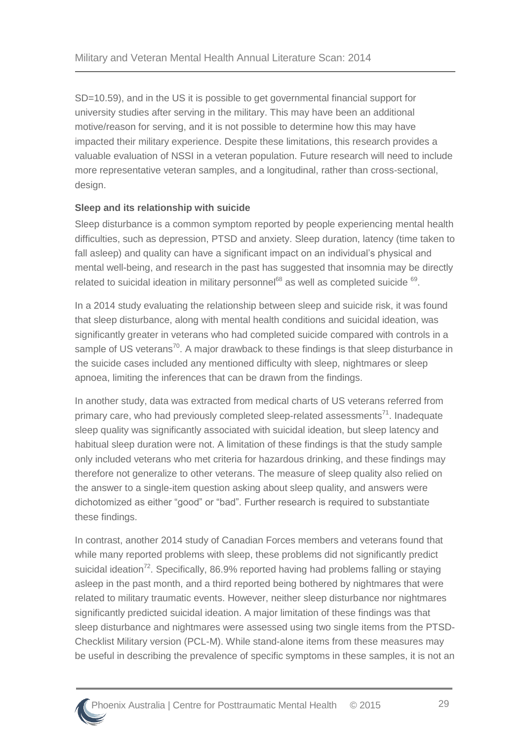SD=10.59), and in the US it is possible to get governmental financial support for university studies after serving in the military. This may have been an additional motive/reason for serving, and it is not possible to determine how this may have impacted their military experience. Despite these limitations, this research provides a valuable evaluation of NSSI in a veteran population. Future research will need to include more representative veteran samples, and a longitudinal, rather than cross-sectional, design.

#### **Sleep and its relationship with suicide**

Sleep disturbance is a common symptom reported by people experiencing mental health difficulties, such as depression, PTSD and anxiety. Sleep duration, latency (time taken to fall asleep) and quality can have a significant impact on an individual's physical and mental well-being, and research in the past has suggested that insomnia may be directly related to suicidal ideation in military personnel $68$  as well as completed suicide  $69$ .

In a 2014 study evaluating the relationship between sleep and suicide risk, it was found that sleep disturbance, along with mental health conditions and suicidal ideation, was significantly greater in veterans who had completed suicide compared with controls in a sample of US veterans<sup>[70](#page-44-7)</sup>. A major drawback to these findings is that sleep disturbance in the suicide cases included any mentioned difficulty with sleep, nightmares or sleep apnoea, limiting the inferences that can be drawn from the findings.

In another study, data was extracted from medical charts of US veterans referred from primary care, who had previously completed sleep-related assessments<sup>[71](#page-44-8)</sup>. Inadequate sleep quality was significantly associated with suicidal ideation, but sleep latency and habitual sleep duration were not. A limitation of these findings is that the study sample only included veterans who met criteria for hazardous drinking, and these findings may therefore not generalize to other veterans. The measure of sleep quality also relied on the answer to a single-item question asking about sleep quality, and answers were dichotomized as either "good" or "bad". Further research is required to substantiate these findings.

In contrast, another 2014 study of Canadian Forces members and veterans found that while many reported problems with sleep, these problems did not significantly predict suicidal ideation<sup>[72](#page-44-9)</sup>. Specifically, 86.9% reported having had problems falling or staying asleep in the past month, and a third reported being bothered by nightmares that were related to military traumatic events. However, neither sleep disturbance nor nightmares significantly predicted suicidal ideation. A major limitation of these findings was that sleep disturbance and nightmares were assessed using two single items from the PTSD-Checklist Military version (PCL-M). While stand-alone items from these measures may be useful in describing the prevalence of specific symptoms in these samples, it is not an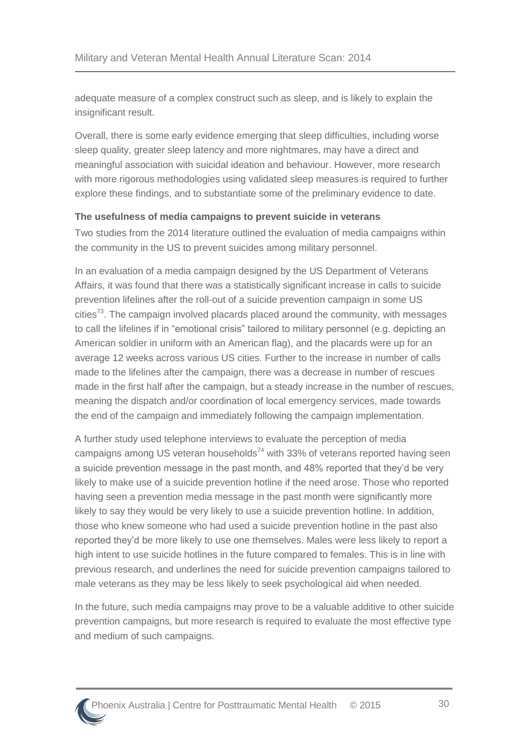adequate measure of a complex construct such as sleep, and is likely to explain the insignificant result.

Overall, there is some early evidence emerging that sleep difficulties, including worse sleep quality, greater sleep latency and more nightmares, may have a direct and meaningful association with suicidal ideation and behaviour. However, more research with more rigorous methodologies using validated sleep measures is required to further explore these findings, and to substantiate some of the preliminary evidence to date.

#### **The usefulness of media campaigns to prevent suicide in veterans**

Two studies from the 2014 literature outlined the evaluation of media campaigns within the community in the US to prevent suicides among military personnel.

In an evaluation of a media campaign designed by the US Department of Veterans Affairs, it was found that there was a statistically significant increase in calls to suicide prevention lifelines after the roll-out of a suicide prevention campaign in some US cities<sup>[73](#page-44-10)</sup>. The campaign involved placards placed around the community, with messages to call the lifelines if in "emotional crisis" tailored to military personnel (e.g. depicting an American soldier in uniform with an American flag), and the placards were up for an average 12 weeks across various US cities. Further to the increase in number of calls made to the lifelines after the campaign, there was a decrease in number of rescues made in the first half after the campaign, but a steady increase in the number of rescues, meaning the dispatch and/or coordination of local emergency services, made towards the end of the campaign and immediately following the campaign implementation.

A further study used telephone interviews to evaluate the perception of media campaigns among US veteran households<sup>[74](#page-44-11)</sup> with 33% of veterans reported having seen a suicide prevention message in the past month, and 48% reported that they'd be very likely to make use of a suicide prevention hotline if the need arose. Those who reported having seen a prevention media message in the past month were significantly more likely to say they would be very likely to use a suicide prevention hotline. In addition, those who knew someone who had used a suicide prevention hotline in the past also reported they'd be more likely to use one themselves. Males were less likely to report a high intent to use suicide hotlines in the future compared to females. This is in line with previous research, and underlines the need for suicide prevention campaigns tailored to male veterans as they may be less likely to seek psychological aid when needed.

In the future, such media campaigns may prove to be a valuable additive to other suicide prevention campaigns, but more research is required to evaluate the most effective type and medium of such campaigns.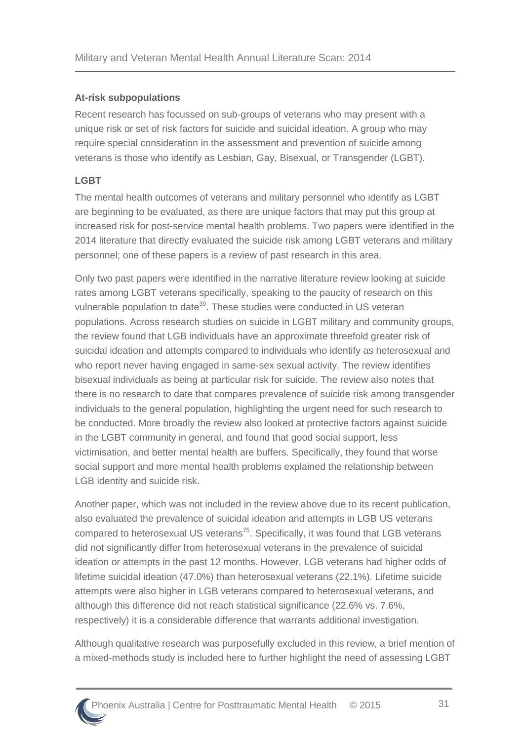#### **At-risk subpopulations**

Recent research has focussed on sub-groups of veterans who may present with a unique risk or set of risk factors for suicide and suicidal ideation. A group who may require special consideration in the assessment and prevention of suicide among veterans is those who identify as Lesbian, Gay, Bisexual, or Transgender (LGBT).

#### **LGBT**

The mental health outcomes of veterans and military personnel who identify as LGBT are beginning to be evaluated, as there are unique factors that may put this group at increased risk for post-service mental health problems. Two papers were identified in the 2014 literature that directly evaluated the suicide risk among LGBT veterans and military personnel; one of these papers is a review of past research in this area.

Only two past papers were identified in the narrative literature review looking at suicide rates among LGBT veterans specifically, speaking to the paucity of research on this vulnerable population to date<sup>[39](#page-42-6)</sup>. These studies were conducted in US veteran populations. Across research studies on suicide in LGBT military and community groups, the review found that LGB individuals have an approximate threefold greater risk of suicidal ideation and attempts compared to individuals who identify as heterosexual and who report never having engaged in same-sex sexual activity. The review identifies bisexual individuals as being at particular risk for suicide. The review also notes that there is no research to date that compares prevalence of suicide risk among transgender individuals to the general population, highlighting the urgent need for such research to be conducted. More broadly the review also looked at protective factors against suicide in the LGBT community in general, and found that good social support, less victimisation, and better mental health are buffers. Specifically, they found that worse social support and more mental health problems explained the relationship between LGB identity and suicide risk.

Another paper, which was not included in the review above due to its recent publication, also evaluated the prevalence of suicidal ideation and attempts in LGB US veterans compared to heterosexual US veterans $75$ . Specifically, it was found that LGB veterans did not significantly differ from heterosexual veterans in the prevalence of suicidal ideation or attempts in the past 12 months. However, LGB veterans had higher odds of lifetime suicidal ideation (47.0%) than heterosexual veterans (22.1%). Lifetime suicide attempts were also higher in LGB veterans compared to heterosexual veterans, and although this difference did not reach statistical significance (22.6% vs. 7.6%, respectively) it is a considerable difference that warrants additional investigation.

Although qualitative research was purposefully excluded in this review, a brief mention of a mixed-methods study is included here to further highlight the need of assessing LGBT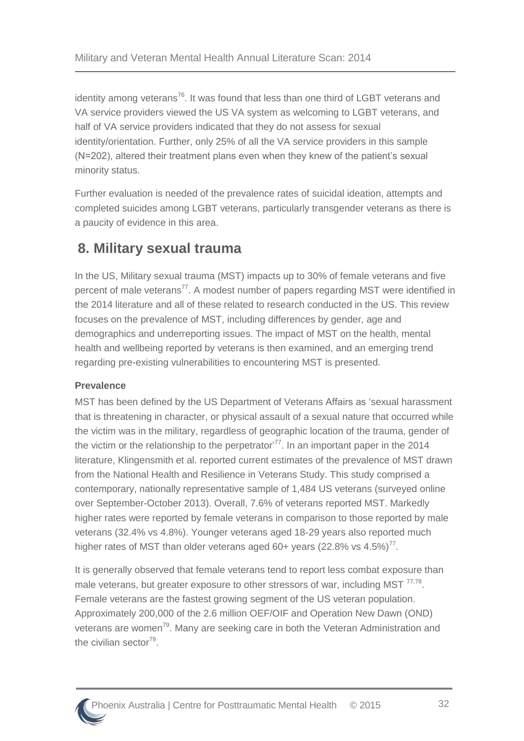identity among veterans<sup>[76](#page-44-13)</sup>. It was found that less than one third of LGBT veterans and VA service providers viewed the US VA system as welcoming to LGBT veterans, and half of VA service providers indicated that they do not assess for sexual identity/orientation. Further, only 25% of all the VA service providers in this sample (N=202), altered their treatment plans even when they knew of the patient's sexual minority status.

Further evaluation is needed of the prevalence rates of suicidal ideation, attempts and completed suicides among LGBT veterans, particularly transgender veterans as there is a paucity of evidence in this area.

### <span id="page-36-0"></span>**8. Military sexual trauma**

In the US, Military sexual trauma (MST) impacts up to 30% of female veterans and five percent of male veterans<sup>[77](#page-44-14)</sup>. A modest number of papers regarding MST were identified in the 2014 literature and all of these related to research conducted in the US. This review focuses on the prevalence of MST, including differences by gender, age and demographics and underreporting issues. The impact of MST on the health, mental health and wellbeing reported by veterans is then examined, and an emerging trend regarding pre-existing vulnerabilities to encountering MST is presented.

#### **Prevalence**

MST has been defined by the US Department of Veterans Affairs as 'sexual harassment that is threatening in character, or physical assault of a sexual nature that occurred while the victim was in the military, regardless of geographic location of the trauma, gender of the victim or the relationship to the perpetrator<sup> $77$ </sup>. In an important paper in the 2014 literature, Klingensmith et al. reported current estimates of the prevalence of MST drawn from the National Health and Resilience in Veterans Study. This study comprised a contemporary, nationally representative sample of 1,484 US veterans (surveyed online over September-October 2013). Overall, 7.6% of veterans reported MST. Markedly higher rates were reported by female veterans in comparison to those reported by male veterans (32.4% vs 4.8%). Younger veterans aged 18-29 years also reported much higher rates of MST than older veterans aged 60+ years (22.8% vs  $4.5\%$ )<sup>[77](#page-44-14)</sup>.

It is generally observed that female veterans tend to report less combat exposure than male veterans, but greater exposure to other stressors of war, including MST<sup>[77,](#page-44-14)[78](#page-44-15)</sup>. Female veterans are the fastest growing segment of the US veteran population. Approximately 200,000 of the 2.6 million OEF/OIF and Operation New Dawn (OND) veterans are women<sup>[79](#page-45-0)</sup>. Many are seeking care in both the Veteran Administration and the civilian sector<sup>[79](#page-45-0)</sup>.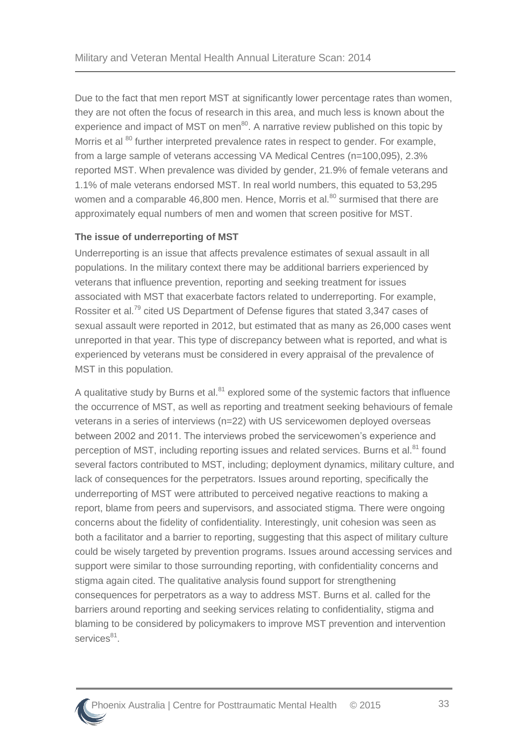Due to the fact that men report MST at significantly lower percentage rates than women, they are not often the focus of research in this area, and much less is known about the experience and impact of MST on men $^{80}$  $^{80}$  $^{80}$ . A narrative review published on this topic by Morris et al <sup>[80](#page-45-1)</sup> further interpreted prevalence rates in respect to gender. For example, from a large sample of veterans accessing VA Medical Centres (n=100,095), 2.3% reported MST. When prevalence was divided by gender, 21.9% of female veterans and 1.1% of male veterans endorsed MST. In real world numbers, this equated to 53,295 women and a comparable 46,[80](#page-45-1)0 men. Hence, Morris et al. $^{80}$  surmised that there are approximately equal numbers of men and women that screen positive for MST.

#### **The issue of underreporting of MST**

Underreporting is an issue that affects prevalence estimates of sexual assault in all populations. In the military context there may be additional barriers experienced by veterans that influence prevention, reporting and seeking treatment for issues associated with MST that exacerbate factors related to underreporting. For example, Rossiter et al.<sup>[79](#page-45-0)</sup> cited US Department of Defense figures that stated 3,347 cases of sexual assault were reported in 2012, but estimated that as many as 26,000 cases went unreported in that year. This type of discrepancy between what is reported, and what is experienced by veterans must be considered in every appraisal of the prevalence of MST in this population.

A qualitative study by Burns et al. $81$  explored some of the systemic factors that influence the occurrence of MST, as well as reporting and treatment seeking behaviours of female veterans in a series of interviews (n=22) with US servicewomen deployed overseas between 2002 and 2011. The interviews probed the servicewomen's experience and perception of MST, including reporting issues and related services. Burns et al.<sup>[81](#page-45-2)</sup> found several factors contributed to MST, including; deployment dynamics, military culture, and lack of consequences for the perpetrators. Issues around reporting, specifically the underreporting of MST were attributed to perceived negative reactions to making a report, blame from peers and supervisors, and associated stigma. There were ongoing concerns about the fidelity of confidentiality. Interestingly, unit cohesion was seen as both a facilitator and a barrier to reporting, suggesting that this aspect of military culture could be wisely targeted by prevention programs. Issues around accessing services and support were similar to those surrounding reporting, with confidentiality concerns and stigma again cited. The qualitative analysis found support for strengthening consequences for perpetrators as a way to address MST. Burns et al. called for the barriers around reporting and seeking services relating to confidentiality, stigma and blaming to be considered by policymakers to improve MST prevention and intervention services<sup>[81](#page-45-2)</sup>.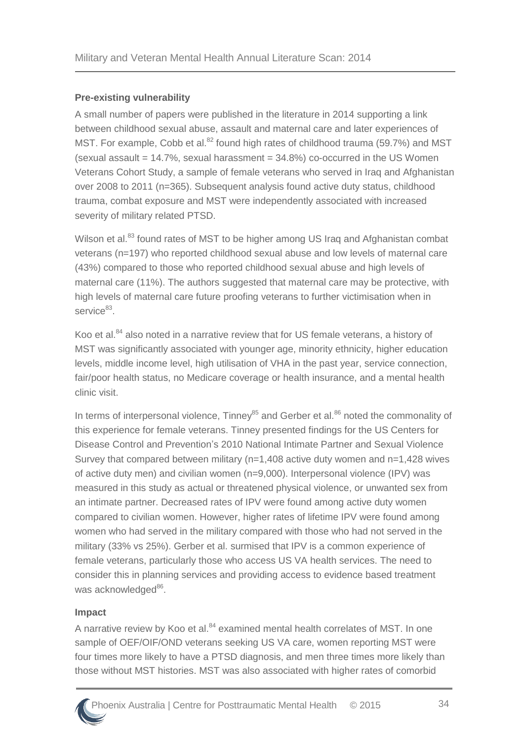#### **Pre-existing vulnerability**

A small number of papers were published in the literature in 2014 supporting a link between childhood sexual abuse, assault and maternal care and later experiences of MST. For example, Cobb et al. $^{82}$  $^{82}$  $^{82}$  found high rates of childhood trauma (59.7%) and MST  $(s$ exual assault = 14.7%, sexual harassment = 34.8%) co-occurred in the US Women Veterans Cohort Study, a sample of female veterans who served in Iraq and Afghanistan over 2008 to 2011 (n=365). Subsequent analysis found active duty status, childhood trauma, combat exposure and MST were independently associated with increased severity of military related PTSD.

Wilson et al.<sup>[83](#page-45-4)</sup> found rates of MST to be higher among US Irag and Afghanistan combat veterans (n=197) who reported childhood sexual abuse and low levels of maternal care (43%) compared to those who reported childhood sexual abuse and high levels of maternal care (11%). The authors suggested that maternal care may be protective, with high levels of maternal care future proofing veterans to further victimisation when in service<sup>[83](#page-45-4)</sup>.

Koo et al.<sup>[84](#page-45-5)</sup> also noted in a narrative review that for US female veterans, a history of MST was significantly associated with younger age, minority ethnicity, higher education levels, middle income level, high utilisation of VHA in the past year, service connection, fair/poor health status, no Medicare coverage or health insurance, and a mental health clinic visit.

In terms of interpersonal violence, Tinney $^{85}$  $^{85}$  $^{85}$  and Gerber et al. $^{86}$  $^{86}$  $^{86}$  noted the commonality of this experience for female veterans. Tinney presented findings for the US Centers for Disease Control and Prevention's 2010 National Intimate Partner and Sexual Violence Survey that compared between military (n=1,408 active duty women and n=1,428 wives of active duty men) and civilian women (n=9,000). Interpersonal violence (IPV) was measured in this study as actual or threatened physical violence, or unwanted sex from an intimate partner. Decreased rates of IPV were found among active duty women compared to civilian women. However, higher rates of lifetime IPV were found among women who had served in the military compared with those who had not served in the military (33% vs 25%). Gerber et al. surmised that IPV is a common experience of female veterans, particularly those who access US VA health services. The need to consider this in planning services and providing access to evidence based treatment was acknowledged<sup>[86](#page-45-7)</sup>.

#### **Impact**

A narrative review by Koo et al.<sup>[84](#page-45-5)</sup> examined mental health correlates of MST. In one sample of OEF/OIF/OND veterans seeking US VA care, women reporting MST were four times more likely to have a PTSD diagnosis, and men three times more likely than those without MST histories. MST was also associated with higher rates of comorbid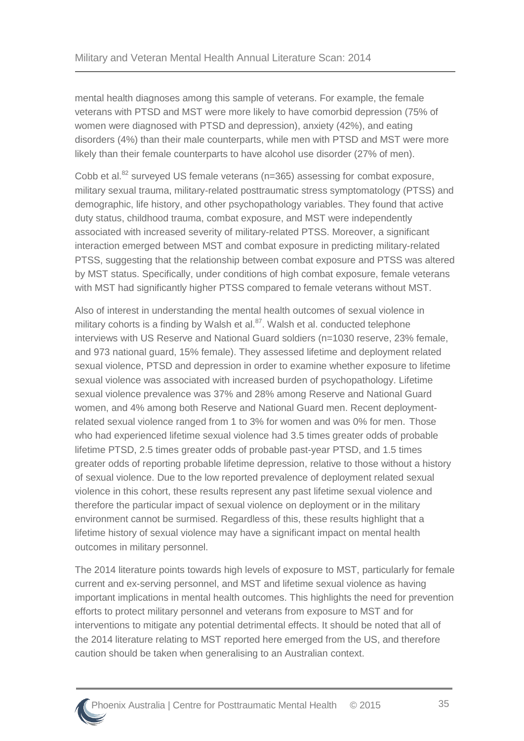mental health diagnoses among this sample of veterans. For example, the female veterans with PTSD and MST were more likely to have comorbid depression (75% of women were diagnosed with PTSD and depression), anxiety (42%), and eating disorders (4%) than their male counterparts, while men with PTSD and MST were more likely than their female counterparts to have alcohol use disorder (27% of men).

Cobb et al.<sup>[82](#page-45-3)</sup> surveyed US female veterans (n=365) assessing for combat exposure, military sexual trauma, military-related posttraumatic stress symptomatology (PTSS) and demographic, life history, and other psychopathology variables. They found that active duty status, childhood trauma, combat exposure, and MST were independently associated with increased severity of military-related PTSS. Moreover, a significant interaction emerged between MST and combat exposure in predicting military-related PTSS, suggesting that the relationship between combat exposure and PTSS was altered by MST status. Specifically, under conditions of high combat exposure, female veterans with MST had significantly higher PTSS compared to female veterans without MST.

Also of interest in understanding the mental health outcomes of sexual violence in military cohorts is a finding by Walsh et al. $87$ . Walsh et al. conducted telephone interviews with US Reserve and National Guard soldiers (n=1030 reserve, 23% female, and 973 national guard, 15% female). They assessed lifetime and deployment related sexual violence, PTSD and depression in order to examine whether exposure to lifetime sexual violence was associated with increased burden of psychopathology. Lifetime sexual violence prevalence was 37% and 28% among Reserve and National Guard women, and 4% among both Reserve and National Guard men. Recent deploymentrelated sexual violence ranged from 1 to 3% for women and was 0% for men. Those who had experienced lifetime sexual violence had 3.5 times greater odds of probable lifetime PTSD, 2.5 times greater odds of probable past-year PTSD, and 1.5 times greater odds of reporting probable lifetime depression, relative to those without a history of sexual violence. Due to the low reported prevalence of deployment related sexual violence in this cohort, these results represent any past lifetime sexual violence and therefore the particular impact of sexual violence on deployment or in the military environment cannot be surmised. Regardless of this, these results highlight that a lifetime history of sexual violence may have a significant impact on mental health outcomes in military personnel.

The 2014 literature points towards high levels of exposure to MST, particularly for female current and ex-serving personnel, and MST and lifetime sexual violence as having important implications in mental health outcomes. This highlights the need for prevention efforts to protect military personnel and veterans from exposure to MST and for interventions to mitigate any potential detrimental effects. It should be noted that all of the 2014 literature relating to MST reported here emerged from the US, and therefore caution should be taken when generalising to an Australian context.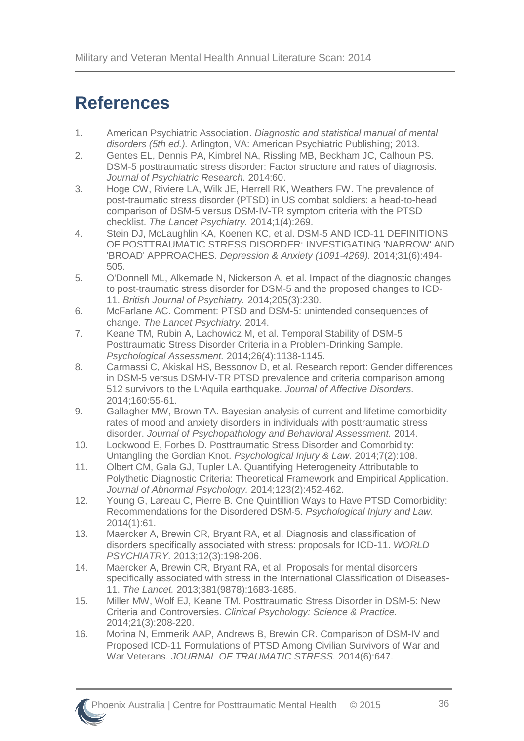# <span id="page-40-0"></span>**References**

- <span id="page-40-1"></span>1. American Psychiatric Association. *Diagnostic and statistical manual of mental disorders (5th ed.).* Arlington, VA: American Psychiatric Publishing; 2013.
- <span id="page-40-2"></span>2. Gentes EL, Dennis PA, Kimbrel NA, Rissling MB, Beckham JC, Calhoun PS. DSM-5 posttraumatic stress disorder: Factor structure and rates of diagnosis. *Journal of Psychiatric Research.* 2014:60.
- <span id="page-40-3"></span>3. Hoge CW, Riviere LA, Wilk JE, Herrell RK, Weathers FW. The prevalence of post-traumatic stress disorder (PTSD) in US combat soldiers: a head-to-head comparison of DSM-5 versus DSM-IV-TR symptom criteria with the PTSD checklist. *The Lancet Psychiatry.* 2014;1(4):269.
- <span id="page-40-4"></span>4. Stein DJ, McLaughlin KA, Koenen KC, et al. DSM-5 AND ICD-11 DEFINITIONS OF POSTTRAUMATIC STRESS DISORDER: INVESTIGATING 'NARROW' AND 'BROAD' APPROACHES. *Depression & Anxiety (1091-4269).* 2014;31(6):494- 505.
- <span id="page-40-5"></span>5. O'Donnell ML, Alkemade N, Nickerson A, et al. Impact of the diagnostic changes to post-traumatic stress disorder for DSM-5 and the proposed changes to ICD-11. *British Journal of Psychiatry.* 2014;205(3):230.
- <span id="page-40-6"></span>6. McFarlane AC. Comment: PTSD and DSM-5: unintended consequences of change. *The Lancet Psychiatry.* 2014.
- <span id="page-40-7"></span>7. Keane TM, Rubin A, Lachowicz M, et al. Temporal Stability of DSM-5 Posttraumatic Stress Disorder Criteria in a Problem-Drinking Sample. *Psychological Assessment.* 2014;26(4):1138-1145.
- <span id="page-40-8"></span>8. Carmassi C, Akiskal HS, Bessonov D, et al. Research report: Gender differences in DSM-5 versus DSM-IV-TR PTSD prevalence and criteria comparison among 512 survivors to the L׳Aquila earthquake. *Journal of Affective Disorders.*  2014;160:55-61.
- <span id="page-40-9"></span>9. Gallagher MW, Brown TA. Bayesian analysis of current and lifetime comorbidity rates of mood and anxiety disorders in individuals with posttraumatic stress disorder. *Journal of Psychopathology and Behavioral Assessment.* 2014.
- <span id="page-40-12"></span>10. Lockwood E, Forbes D. Posttraumatic Stress Disorder and Comorbidity: Untangling the Gordian Knot. *Psychological Injury & Law.* 2014;7(2):108.
- <span id="page-40-11"></span>11. Olbert CM, Gala GJ, Tupler LA. Quantifying Heterogeneity Attributable to Polythetic Diagnostic Criteria: Theoretical Framework and Empirical Application. *Journal of Abnormal Psychology.* 2014;123(2):452-462.
- <span id="page-40-10"></span>12. Young G, Lareau C, Pierre B. One Quintillion Ways to Have PTSD Comorbidity: Recommendations for the Disordered DSM-5. *Psychological Injury and Law.*  2014(1):61.
- <span id="page-40-13"></span>13. Maercker A, Brewin CR, Bryant RA, et al. Diagnosis and classification of disorders specifically associated with stress: proposals for ICD-11. *WORLD PSYCHIATRY.* 2013;12(3):198-206.
- <span id="page-40-14"></span>14. Maercker A, Brewin CR, Bryant RA, et al. Proposals for mental disorders specifically associated with stress in the International Classification of Diseases-11. *The Lancet.* 2013;381(9878):1683-1685.
- <span id="page-40-15"></span>15. Miller MW, Wolf EJ, Keane TM. Posttraumatic Stress Disorder in DSM-5: New Criteria and Controversies. *Clinical Psychology: Science & Practice.*  2014;21(3):208-220.
- <span id="page-40-16"></span>16. Morina N, Emmerik AAP, Andrews B, Brewin CR. Comparison of DSM-IV and Proposed ICD-11 Formulations of PTSD Among Civilian Survivors of War and War Veterans. *JOURNAL OF TRAUMATIC STRESS.* 2014(6):647.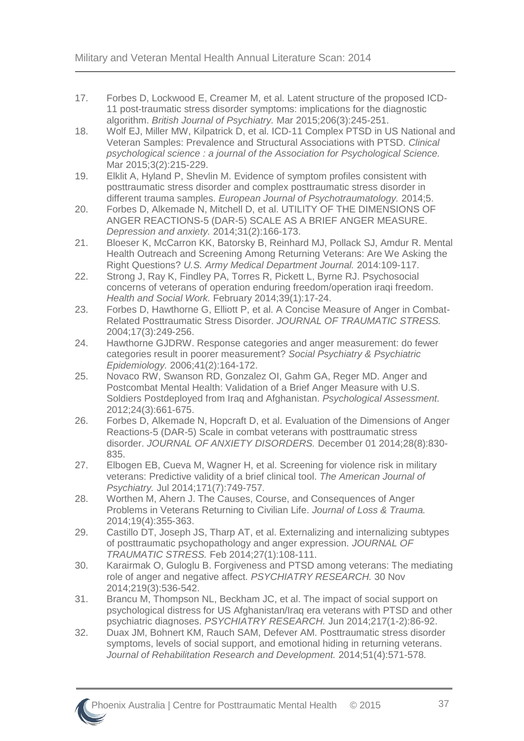- <span id="page-41-0"></span>17. Forbes D, Lockwood E, Creamer M, et al. Latent structure of the proposed ICD-11 post-traumatic stress disorder symptoms: implications for the diagnostic algorithm. *British Journal of Psychiatry.* Mar 2015;206(3):245-251.
- <span id="page-41-1"></span>18. Wolf EJ, Miller MW, Kilpatrick D, et al. ICD-11 Complex PTSD in US National and Veteran Samples: Prevalence and Structural Associations with PTSD. *Clinical psychological science : a journal of the Association for Psychological Science.*  Mar 2015;3(2):215-229.
- <span id="page-41-2"></span>19. Elklit A, Hyland P, Shevlin M. Evidence of symptom profiles consistent with posttraumatic stress disorder and complex posttraumatic stress disorder in different trauma samples. *European Journal of Psychotraumatology.* 2014;5.
- <span id="page-41-3"></span>20. Forbes D, Alkemade N, Mitchell D, et al. UTILITY OF THE DIMENSIONS OF ANGER REACTIONS-5 (DAR-5) SCALE AS A BRIEF ANGER MEASURE. *Depression and anxiety.* 2014;31(2):166-173.
- <span id="page-41-4"></span>21. Bloeser K, McCarron KK, Batorsky B, Reinhard MJ, Pollack SJ, Amdur R. Mental Health Outreach and Screening Among Returning Veterans: Are We Asking the Right Questions? *U.S. Army Medical Department Journal.* 2014:109-117.
- <span id="page-41-5"></span>22. Strong J, Ray K, Findley PA, Torres R, Pickett L, Byrne RJ. Psychosocial concerns of veterans of operation enduring freedom/operation iraqi freedom. *Health and Social Work.* February 2014;39(1):17-24.
- <span id="page-41-6"></span>23. Forbes D, Hawthorne G, Elliott P, et al. A Concise Measure of Anger in Combat-Related Posttraumatic Stress Disorder. *JOURNAL OF TRAUMATIC STRESS.*  2004;17(3):249-256.
- <span id="page-41-7"></span>24. Hawthorne GJDRW. Response categories and anger measurement: do fewer categories result in poorer measurement? *Social Psychiatry & Psychiatric Epidemiology.* 2006;41(2):164-172.
- <span id="page-41-8"></span>25. Novaco RW, Swanson RD, Gonzalez OI, Gahm GA, Reger MD. Anger and Postcombat Mental Health: Validation of a Brief Anger Measure with U.S. Soldiers Postdeployed from Iraq and Afghanistan. *Psychological Assessment.*  2012;24(3):661-675.
- <span id="page-41-9"></span>26. Forbes D, Alkemade N, Hopcraft D, et al. Evaluation of the Dimensions of Anger Reactions-5 (DAR-5) Scale in combat veterans with posttraumatic stress disorder. *JOURNAL OF ANXIETY DISORDERS.* December 01 2014;28(8):830- 835.
- <span id="page-41-10"></span>27. Elbogen EB, Cueva M, Wagner H, et al. Screening for violence risk in military veterans: Predictive validity of a brief clinical tool. *The American Journal of Psychiatry.* Jul 2014;171(7):749-757.
- <span id="page-41-11"></span>28. Worthen M, Ahern J. The Causes, Course, and Consequences of Anger Problems in Veterans Returning to Civilian Life. *Journal of Loss & Trauma.*  2014;19(4):355-363.
- <span id="page-41-12"></span>29. Castillo DT, Joseph JS, Tharp AT, et al. Externalizing and internalizing subtypes of posttraumatic psychopathology and anger expression. *JOURNAL OF TRAUMATIC STRESS.* Feb 2014;27(1):108-111.
- <span id="page-41-13"></span>30. Karairmak O, Guloglu B. Forgiveness and PTSD among veterans: The mediating role of anger and negative affect. *PSYCHIATRY RESEARCH.* 30 Nov 2014;219(3):536-542.
- <span id="page-41-14"></span>31. Brancu M, Thompson NL, Beckham JC, et al. The impact of social support on psychological distress for US Afghanistan/Iraq era veterans with PTSD and other psychiatric diagnoses. *PSYCHIATRY RESEARCH.* Jun 2014;217(1-2):86-92.
- <span id="page-41-15"></span>32. Duax JM, Bohnert KM, Rauch SAM, Defever AM. Posttraumatic stress disorder symptoms, levels of social support, and emotional hiding in returning veterans. *Journal of Rehabilitation Research and Development.* 2014;51(4):571-578.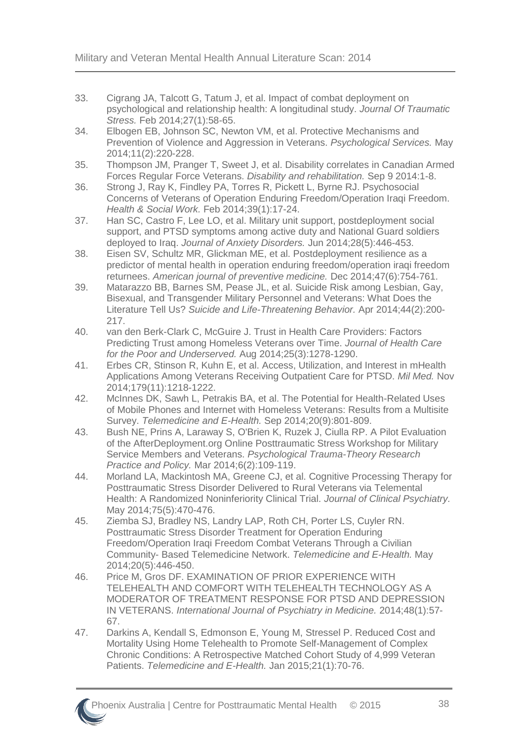- <span id="page-42-0"></span>33. Cigrang JA, Talcott G, Tatum J, et al. Impact of combat deployment on psychological and relationship health: A longitudinal study. *Journal Of Traumatic Stress.* Feb 2014;27(1):58-65.
- <span id="page-42-1"></span>34. Elbogen EB, Johnson SC, Newton VM, et al. Protective Mechanisms and Prevention of Violence and Aggression in Veterans. *Psychological Services.* May 2014;11(2):220-228.
- <span id="page-42-2"></span>35. Thompson JM, Pranger T, Sweet J, et al. Disability correlates in Canadian Armed Forces Regular Force Veterans. *Disability and rehabilitation.* Sep 9 2014:1-8.
- <span id="page-42-3"></span>36. Strong J, Ray K, Findley PA, Torres R, Pickett L, Byrne RJ. Psychosocial Concerns of Veterans of Operation Enduring Freedom/Operation Iraqi Freedom. *Health & Social Work.* Feb 2014;39(1):17-24.
- <span id="page-42-4"></span>37. Han SC, Castro F, Lee LO, et al. Military unit support, postdeployment social support, and PTSD symptoms among active duty and National Guard soldiers deployed to Iraq. *Journal of Anxiety Disorders.* Jun 2014;28(5):446-453.
- <span id="page-42-5"></span>38. Eisen SV, Schultz MR, Glickman ME, et al. Postdeployment resilience as a predictor of mental health in operation enduring freedom/operation iraqi freedom returnees. *American journal of preventive medicine.* Dec 2014;47(6):754-761.
- <span id="page-42-6"></span>39. Matarazzo BB, Barnes SM, Pease JL, et al. Suicide Risk among Lesbian, Gay, Bisexual, and Transgender Military Personnel and Veterans: What Does the Literature Tell Us? *Suicide and Life-Threatening Behavior.* Apr 2014;44(2):200- 217.
- <span id="page-42-7"></span>40. van den Berk-Clark C, McGuire J. Trust in Health Care Providers: Factors Predicting Trust among Homeless Veterans over Time. *Journal of Health Care for the Poor and Underserved.* Aug 2014;25(3):1278-1290.
- <span id="page-42-8"></span>41. Erbes CR, Stinson R, Kuhn E, et al. Access, Utilization, and Interest in mHealth Applications Among Veterans Receiving Outpatient Care for PTSD. *Mil Med.* Nov 2014;179(11):1218-1222.
- <span id="page-42-9"></span>42. McInnes DK, Sawh L, Petrakis BA, et al. The Potential for Health-Related Uses of Mobile Phones and Internet with Homeless Veterans: Results from a Multisite Survey. *Telemedicine and E-Health.* Sep 2014;20(9):801-809.
- <span id="page-42-10"></span>43. Bush NE, Prins A, Laraway S, O'Brien K, Ruzek J, Ciulla RP. A Pilot Evaluation of the AfterDeployment.org Online Posttraumatic Stress Workshop for Military Service Members and Veterans. *Psychological Trauma-Theory Research Practice and Policy.* Mar 2014;6(2):109-119.
- <span id="page-42-11"></span>44. Morland LA, Mackintosh MA, Greene CJ, et al. Cognitive Processing Therapy for Posttraumatic Stress Disorder Delivered to Rural Veterans via Telemental Health: A Randomized Noninferiority Clinical Trial. *Journal of Clinical Psychiatry.*  May 2014;75(5):470-476.
- <span id="page-42-12"></span>45. Ziemba SJ, Bradley NS, Landry LAP, Roth CH, Porter LS, Cuyler RN. Posttraumatic Stress Disorder Treatment for Operation Enduring Freedom/Operation Iraqi Freedom Combat Veterans Through a Civilian Community- Based Telemedicine Network. *Telemedicine and E-Health.* May 2014;20(5):446-450.
- <span id="page-42-13"></span>46. Price M, Gros DF. EXAMINATION OF PRIOR EXPERIENCE WITH TELEHEALTH AND COMFORT WITH TELEHEALTH TECHNOLOGY AS A MODERATOR OF TREATMENT RESPONSE FOR PTSD AND DEPRESSION IN VETERANS. *International Journal of Psychiatry in Medicine.* 2014;48(1):57- 67.
- <span id="page-42-14"></span>47. Darkins A, Kendall S, Edmonson E, Young M, Stressel P. Reduced Cost and Mortality Using Home Telehealth to Promote Self-Management of Complex Chronic Conditions: A Retrospective Matched Cohort Study of 4,999 Veteran Patients. *Telemedicine and E-Health.* Jan 2015;21(1):70-76.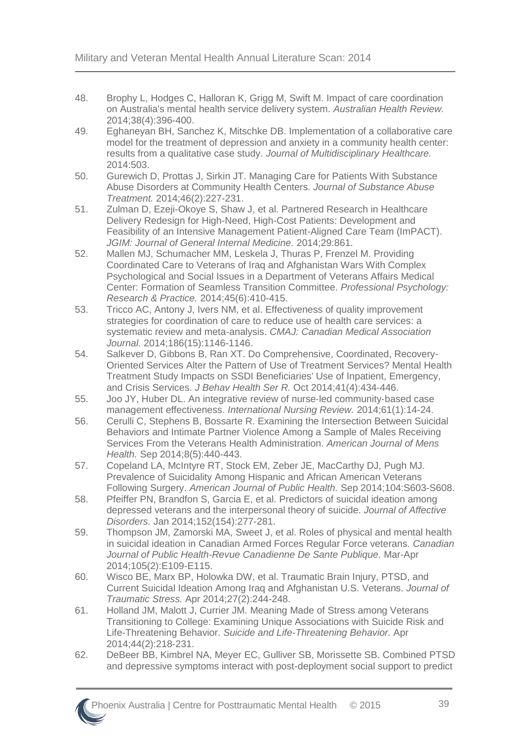- <span id="page-43-0"></span>48. Brophy L, Hodges C, Halloran K, Grigg M, Swift M. Impact of care coordination on Australia's mental health service delivery system. *Australian Health Review.*  2014;38(4):396-400.
- <span id="page-43-1"></span>49. Eghaneyan BH, Sanchez K, Mitschke DB. Implementation of a collaborative care model for the treatment of depression and anxiety in a community health center: results from a qualitative case study. *Journal of Multidisciplinary Healthcare.*  2014:503.
- <span id="page-43-2"></span>50. Gurewich D, Prottas J, Sirkin JT. Managing Care for Patients With Substance Abuse Disorders at Community Health Centers. *Journal of Substance Abuse Treatment.* 2014;46(2):227-231.
- <span id="page-43-3"></span>51. Zulman D, Ezeji-Okoye S, Shaw J, et al. Partnered Research in Healthcare Delivery Redesign for High-Need, High-Cost Patients: Development and Feasibility of an Intensive Management Patient-Aligned Care Team (ImPACT). *JGIM: Journal of General Internal Medicine.* 2014;29:861.
- <span id="page-43-4"></span>52. Mallen MJ, Schumacher MM, Leskela J, Thuras P, Frenzel M. Providing Coordinated Care to Veterans of Iraq and Afghanistan Wars With Complex Psychological and Social Issues in a Department of Veterans Affairs Medical Center: Formation of Seamless Transition Committee. *Professional Psychology: Research & Practice.* 2014;45(6):410-415.
- <span id="page-43-5"></span>53. Tricco AC, Antony J, Ivers NM, et al. Effectiveness of quality improvement strategies for coordination of care to reduce use of health care services: a systematic review and meta-analysis. *CMAJ: Canadian Medical Association Journal.* 2014;186(15):1146-1146.
- <span id="page-43-6"></span>54. Salkever D, Gibbons B, Ran XT. Do Comprehensive, Coordinated, Recovery-Oriented Services Alter the Pattern of Use of Treatment Services? Mental Health Treatment Study Impacts on SSDI Beneficiaries' Use of Inpatient, Emergency, and Crisis Services. *J Behav Health Ser R.* Oct 2014;41(4):434-446.
- <span id="page-43-7"></span>55. Joo JY, Huber DL. An integrative review of nurse‐led community‐based case management effectiveness. *International Nursing Review.* 2014;61(1):14-24.
- <span id="page-43-8"></span>56. Cerulli C, Stephens B, Bossarte R. Examining the Intersection Between Suicidal Behaviors and Intimate Partner Violence Among a Sample of Males Receiving Services From the Veterans Health Administration. *American Journal of Mens Health.* Sep 2014;8(5):440-443.
- <span id="page-43-9"></span>57. Copeland LA, McIntyre RT, Stock EM, Zeber JE, MacCarthy DJ, Pugh MJ. Prevalence of Suicidality Among Hispanic and African American Veterans Following Surgery. *American Journal of Public Health.* Sep 2014;104:S603-S608.
- <span id="page-43-10"></span>58. Pfeiffer PN, Brandfon S, Garcia E, et al. Predictors of suicidal ideation among depressed veterans and the interpersonal theory of suicide. *Journal of Affective Disorders.* Jan 2014;152(154):277-281.
- <span id="page-43-11"></span>59. Thompson JM, Zamorski MA, Sweet J, et al. Roles of physical and mental health in suicidal ideation in Canadian Armed Forces Regular Force veterans. *Canadian Journal of Public Health-Revue Canadienne De Sante Publique.* Mar-Apr 2014;105(2):E109-E115.
- <span id="page-43-12"></span>60. Wisco BE, Marx BP, Holowka DW, et al. Traumatic Brain Injury, PTSD, and Current Suicidal Ideation Among Iraq and Afghanistan U.S. Veterans. *Journal of Traumatic Stress.* Apr 2014;27(2):244-248.
- <span id="page-43-13"></span>61. Holland JM, Malott J, Currier JM. Meaning Made of Stress among Veterans Transitioning to College: Examining Unique Associations with Suicide Risk and Life-Threatening Behavior. *Suicide and Life-Threatening Behavior.* Apr 2014;44(2):218-231.
- <span id="page-43-14"></span>62. DeBeer BB, Kimbrel NA, Meyer EC, Gulliver SB, Morissette SB. Combined PTSD and depressive symptoms interact with post-deployment social support to predict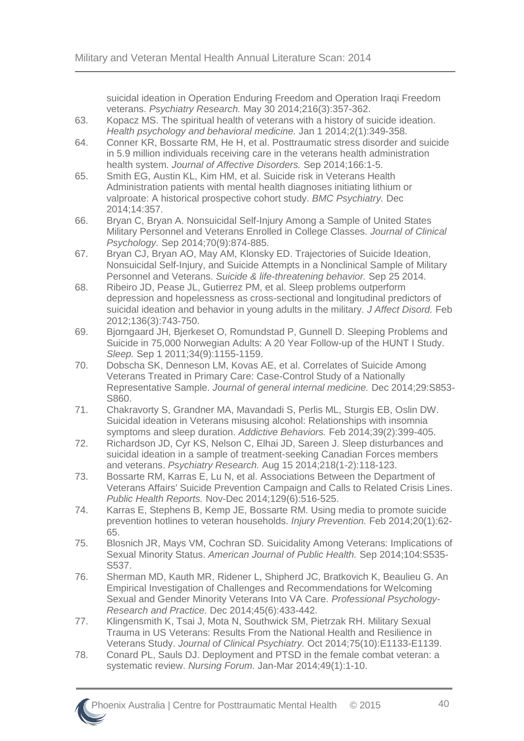suicidal ideation in Operation Enduring Freedom and Operation Iraqi Freedom veterans. *Psychiatry Research.* May 30 2014;216(3):357-362.

- <span id="page-44-0"></span>63. Kopacz MS. The spiritual health of veterans with a history of suicide ideation. *Health psychology and behavioral medicine.* Jan 1 2014;2(1):349-358.
- <span id="page-44-1"></span>64. Conner KR, Bossarte RM, He H, et al. Posttraumatic stress disorder and suicide in 5.9 million individuals receiving care in the veterans health administration health system. *Journal of Affective Disorders.* Sep 2014;166:1-5.
- <span id="page-44-2"></span>65. Smith EG, Austin KL, Kim HM, et al. Suicide risk in Veterans Health Administration patients with mental health diagnoses initiating lithium or valproate: A historical prospective cohort study. *BMC Psychiatry.* Dec 2014;14:357.
- <span id="page-44-3"></span>66. Bryan C, Bryan A. Nonsuicidal Self-Injury Among a Sample of United States Military Personnel and Veterans Enrolled in College Classes. *Journal of Clinical Psychology.* Sep 2014;70(9):874-885.
- <span id="page-44-4"></span>67. Bryan CJ, Bryan AO, May AM, Klonsky ED. Trajectories of Suicide Ideation, Nonsuicidal Self-Injury, and Suicide Attempts in a Nonclinical Sample of Military Personnel and Veterans. *Suicide & life-threatening behavior.* Sep 25 2014.
- <span id="page-44-5"></span>68. Ribeiro JD, Pease JL, Gutierrez PM, et al. Sleep problems outperform depression and hopelessness as cross-sectional and longitudinal predictors of suicidal ideation and behavior in young adults in the military. *J Affect Disord.* Feb 2012;136(3):743-750.
- <span id="page-44-6"></span>69. Bjorngaard JH, Bjerkeset O, Romundstad P, Gunnell D. Sleeping Problems and Suicide in 75,000 Norwegian Adults: A 20 Year Follow-up of the HUNT I Study. *Sleep.* Sep 1 2011;34(9):1155-1159.
- <span id="page-44-7"></span>70. Dobscha SK, Denneson LM, Kovas AE, et al. Correlates of Suicide Among Veterans Treated in Primary Care: Case-Control Study of a Nationally Representative Sample. *Journal of general internal medicine.* Dec 2014;29:S853- S860.
- <span id="page-44-8"></span>71. Chakravorty S, Grandner MA, Mavandadi S, Perlis ML, Sturgis EB, Oslin DW. Suicidal ideation in Veterans misusing alcohol: Relationships with insomnia symptoms and sleep duration. *Addictive Behaviors.* Feb 2014;39(2):399-405.
- <span id="page-44-9"></span>72. Richardson JD, Cyr KS, Nelson C, Elhai JD, Sareen J. Sleep disturbances and suicidal ideation in a sample of treatment-seeking Canadian Forces members and veterans. *Psychiatry Research.* Aug 15 2014;218(1-2):118-123.
- <span id="page-44-10"></span>73. Bossarte RM, Karras E, Lu N, et al. Associations Between the Department of Veterans Affairs' Suicide Prevention Campaign and Calls to Related Crisis Lines. *Public Health Reports.* Nov-Dec 2014;129(6):516-525.
- <span id="page-44-11"></span>74. Karras E, Stephens B, Kemp JE, Bossarte RM. Using media to promote suicide prevention hotlines to veteran households. *Injury Prevention.* Feb 2014;20(1):62- 65.
- <span id="page-44-12"></span>75. Blosnich JR, Mays VM, Cochran SD. Suicidality Among Veterans: Implications of Sexual Minority Status. *American Journal of Public Health.* Sep 2014;104:S535- S537.
- <span id="page-44-13"></span>76. Sherman MD, Kauth MR, Ridener L, Shipherd JC, Bratkovich K, Beaulieu G. An Empirical Investigation of Challenges and Recommendations for Welcoming Sexual and Gender Minority Veterans Into VA Care. *Professional Psychology-Research and Practice.* Dec 2014;45(6):433-442.
- <span id="page-44-14"></span>77. Klingensmith K, Tsai J, Mota N, Southwick SM, Pietrzak RH. Military Sexual Trauma in US Veterans: Results From the National Health and Resilience in Veterans Study. *Journal of Clinical Psychiatry.* Oct 2014;75(10):E1133-E1139.
- <span id="page-44-15"></span>78. Conard PL, Sauls DJ. Deployment and PTSD in the female combat veteran: a systematic review. *Nursing Forum.* Jan-Mar 2014;49(1):1-10.